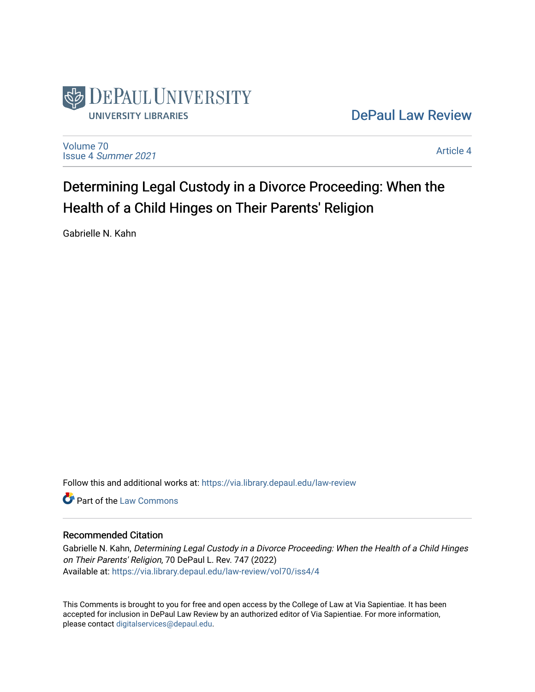

# [DePaul Law Review](https://via.library.depaul.edu/law-review)

[Volume 70](https://via.library.depaul.edu/law-review/vol70) Issue 4 [Summer 2021](https://via.library.depaul.edu/law-review/vol70/iss4) 

[Article 4](https://via.library.depaul.edu/law-review/vol70/iss4/4) 

# Determining Legal Custody in a Divorce Proceeding: When the Health of a Child Hinges on Their Parents' Religion

Gabrielle N. Kahn

Follow this and additional works at: [https://via.library.depaul.edu/law-review](https://via.library.depaul.edu/law-review?utm_source=via.library.depaul.edu%2Flaw-review%2Fvol70%2Fiss4%2F4&utm_medium=PDF&utm_campaign=PDFCoverPages) 

**C** Part of the [Law Commons](http://network.bepress.com/hgg/discipline/578?utm_source=via.library.depaul.edu%2Flaw-review%2Fvol70%2Fiss4%2F4&utm_medium=PDF&utm_campaign=PDFCoverPages)

# Recommended Citation

Gabrielle N. Kahn, Determining Legal Custody in a Divorce Proceeding: When the Health of a Child Hinges on Their Parents' Religion, 70 DePaul L. Rev. 747 (2022) Available at: [https://via.library.depaul.edu/law-review/vol70/iss4/4](https://via.library.depaul.edu/law-review/vol70/iss4/4?utm_source=via.library.depaul.edu%2Flaw-review%2Fvol70%2Fiss4%2F4&utm_medium=PDF&utm_campaign=PDFCoverPages) 

This Comments is brought to you for free and open access by the College of Law at Via Sapientiae. It has been accepted for inclusion in DePaul Law Review by an authorized editor of Via Sapientiae. For more information, please contact [digitalservices@depaul.edu.](mailto:digitalservices@depaul.edu)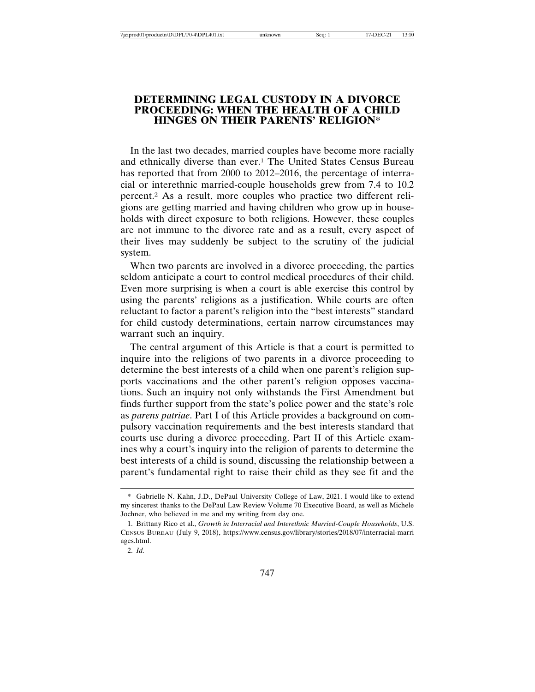# **DETERMINING LEGAL CUSTODY IN A DIVORCE PROCEEDING: WHEN THE HEALTH OF A CHILD HINGES ON THEIR PARENTS' RELIGION\***

In the last two decades, married couples have become more racially and ethnically diverse than ever.1 The United States Census Bureau has reported that from 2000 to 2012–2016, the percentage of interracial or interethnic married-couple households grew from 7.4 to 10.2 percent.2 As a result, more couples who practice two different religions are getting married and having children who grow up in households with direct exposure to both religions. However, these couples are not immune to the divorce rate and as a result, every aspect of their lives may suddenly be subject to the scrutiny of the judicial system.

When two parents are involved in a divorce proceeding, the parties seldom anticipate a court to control medical procedures of their child. Even more surprising is when a court is able exercise this control by using the parents' religions as a justification. While courts are often reluctant to factor a parent's religion into the "best interests" standard for child custody determinations, certain narrow circumstances may warrant such an inquiry.

The central argument of this Article is that a court is permitted to inquire into the religions of two parents in a divorce proceeding to determine the best interests of a child when one parent's religion supports vaccinations and the other parent's religion opposes vaccinations. Such an inquiry not only withstands the First Amendment but finds further support from the state's police power and the state's role as *parens patriae*. Part I of this Article provides a background on compulsory vaccination requirements and the best interests standard that courts use during a divorce proceeding. Part II of this Article examines why a court's inquiry into the religion of parents to determine the best interests of a child is sound, discussing the relationship between a parent's fundamental right to raise their child as they see fit and the

<sup>\*</sup> Gabrielle N. Kahn, J.D., DePaul University College of Law, 2021. I would like to extend my sincerest thanks to the DePaul Law Review Volume 70 Executive Board, as well as Michele Jochner, who believed in me and my writing from day one.

<sup>1.</sup> Brittany Rico et al., *Growth in Interracial and Interethnic Married-Couple Households*, U.S. CENSUS BUREAU (July 9, 2018), https://www.census.gov/library/stories/2018/07/interracial-marri ages.html.

<sup>2.</sup> *Id.*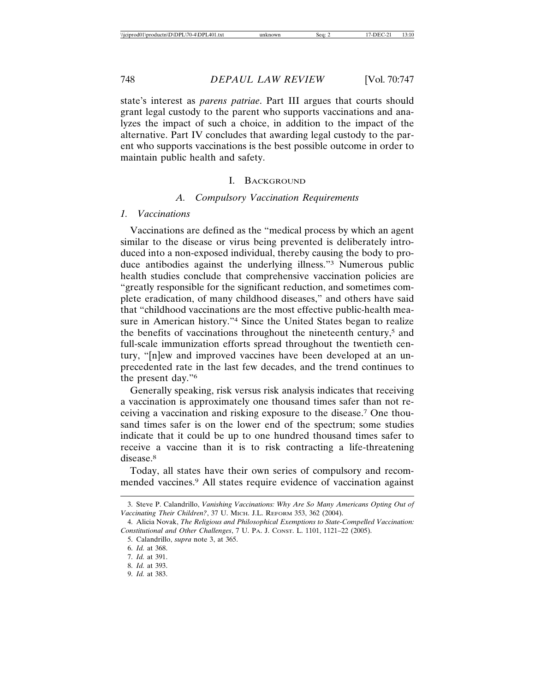state's interest as *parens patriae*. Part III argues that courts should grant legal custody to the parent who supports vaccinations and analyzes the impact of such a choice, in addition to the impact of the alternative. Part IV concludes that awarding legal custody to the parent who supports vaccinations is the best possible outcome in order to maintain public health and safety.

#### I. BACKGROUND

#### *A. Compulsory Vaccination Requirements*

#### *1. Vaccinations*

Vaccinations are defined as the "medical process by which an agent similar to the disease or virus being prevented is deliberately introduced into a non-exposed individual, thereby causing the body to produce antibodies against the underlying illness."3 Numerous public health studies conclude that comprehensive vaccination policies are "greatly responsible for the significant reduction, and sometimes complete eradication, of many childhood diseases," and others have said that "childhood vaccinations are the most effective public-health measure in American history."4 Since the United States began to realize the benefits of vaccinations throughout the nineteenth century,<sup>5</sup> and full-scale immunization efforts spread throughout the twentieth century, "[n]ew and improved vaccines have been developed at an unprecedented rate in the last few decades, and the trend continues to the present day."6

Generally speaking, risk versus risk analysis indicates that receiving a vaccination is approximately one thousand times safer than not receiving a vaccination and risking exposure to the disease.7 One thousand times safer is on the lower end of the spectrum; some studies indicate that it could be up to one hundred thousand times safer to receive a vaccine than it is to risk contracting a life-threatening disease.<sup>8</sup>

Today, all states have their own series of compulsory and recommended vaccines.9 All states require evidence of vaccination against

9. *Id.* at 383.

<sup>3.</sup> Steve P. Calandrillo, *Vanishing Vaccinations: Why Are So Many Americans Opting Out of Vaccinating Their Children?*, 37 U. MICH. J.L. REFORM 353, 362 (2004).

<sup>4.</sup> Alicia Novak, *The Religious and Philosophical Exemptions to State-Compelled Vaccination: Constitutional and Other Challenges*, 7 U. PA. J. CONST. L. 1101, 1121–22 (2005).

<sup>5.</sup> Calandrillo, *supra* note 3, at 365.

<sup>6.</sup> *Id.* at 368.

<sup>7.</sup> *Id.* at 391.

<sup>8.</sup> *Id.* at 393.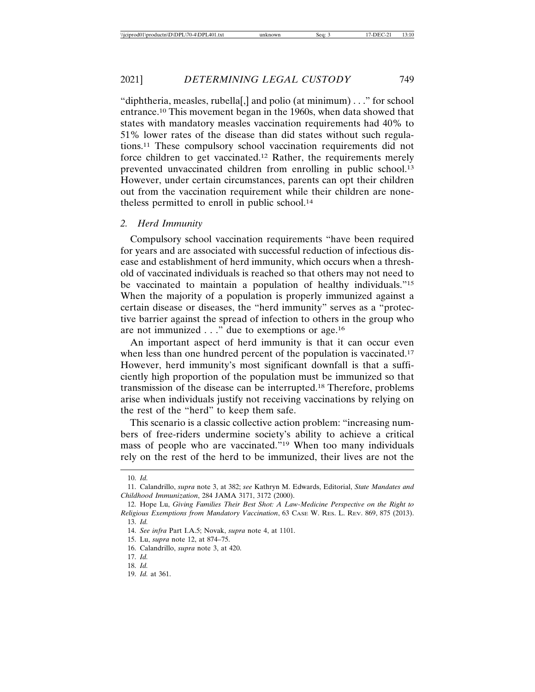"diphtheria, measles, rubella[,] and polio (at minimum) . . ." for school entrance.10 This movement began in the 1960s, when data showed that states with mandatory measles vaccination requirements had 40% to 51% lower rates of the disease than did states without such regulations.11 These compulsory school vaccination requirements did not force children to get vaccinated.12 Rather, the requirements merely prevented unvaccinated children from enrolling in public school.13 However, under certain circumstances, parents can opt their children out from the vaccination requirement while their children are nonetheless permitted to enroll in public school.14

#### *2. Herd Immunity*

Compulsory school vaccination requirements "have been required for years and are associated with successful reduction of infectious disease and establishment of herd immunity, which occurs when a threshold of vaccinated individuals is reached so that others may not need to be vaccinated to maintain a population of healthy individuals."<sup>15</sup> When the majority of a population is properly immunized against a certain disease or diseases, the "herd immunity" serves as a "protective barrier against the spread of infection to others in the group who are not immunized . . ." due to exemptions or age.16

An important aspect of herd immunity is that it can occur even when less than one hundred percent of the population is vaccinated.<sup>17</sup> However, herd immunity's most significant downfall is that a sufficiently high proportion of the population must be immunized so that transmission of the disease can be interrupted.18 Therefore, problems arise when individuals justify not receiving vaccinations by relying on the rest of the "herd" to keep them safe.

This scenario is a classic collective action problem: "increasing numbers of free-riders undermine society's ability to achieve a critical mass of people who are vaccinated."19 When too many individuals rely on the rest of the herd to be immunized, their lives are not the

<sup>10.</sup> *Id.*

<sup>11.</sup> Calandrillo, *supra* note 3, at 382; *see* Kathryn M. Edwards, Editorial, *State Mandates and Childhood Immunization*, 284 JAMA 3171, 3172 (2000).

<sup>12.</sup> Hope Lu, *Giving Families Their Best Shot: A Law-Medicine Perspective on the Right to Religious Exemptions from Mandatory Vaccination*, 63 CASE W. RES. L. REV. 869, 875 (2013). 13. *Id.*

<sup>14.</sup> *See infra* Part I.A.5; Novak, *supra* note 4, at 1101.

<sup>15.</sup> Lu, *supra* note 12, at 874–75.

<sup>16.</sup> Calandrillo, *supra* note 3, at 420.

<sup>17.</sup> *Id.*

<sup>18.</sup> *Id.*

<sup>19.</sup> *Id.* at 361.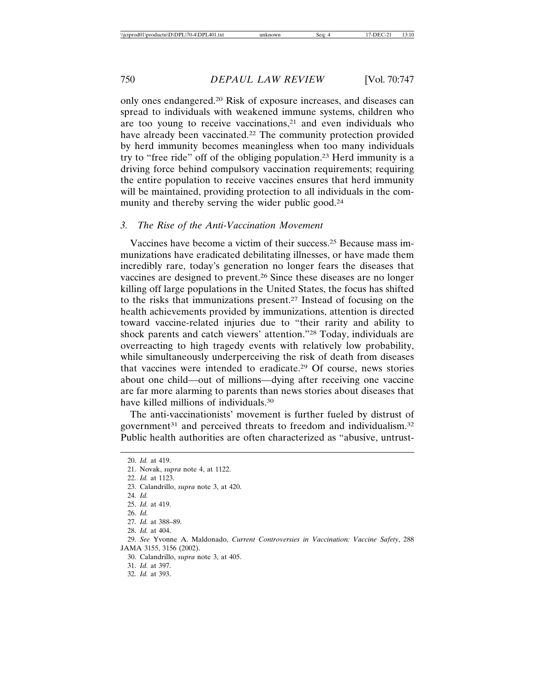only ones endangered.20 Risk of exposure increases, and diseases can spread to individuals with weakened immune systems, children who are too young to receive vaccinations,21 and even individuals who have already been vaccinated.22 The community protection provided by herd immunity becomes meaningless when too many individuals try to "free ride" off of the obliging population.23 Herd immunity is a driving force behind compulsory vaccination requirements; requiring the entire population to receive vaccines ensures that herd immunity will be maintained, providing protection to all individuals in the community and thereby serving the wider public good.<sup>24</sup>

# *3. The Rise of the Anti-Vaccination Movement*

Vaccines have become a victim of their success.25 Because mass immunizations have eradicated debilitating illnesses, or have made them incredibly rare, today's generation no longer fears the diseases that vaccines are designed to prevent.26 Since these diseases are no longer killing off large populations in the United States, the focus has shifted to the risks that immunizations present.27 Instead of focusing on the health achievements provided by immunizations, attention is directed toward vaccine-related injuries due to "their rarity and ability to shock parents and catch viewers' attention."28 Today, individuals are overreacting to high tragedy events with relatively low probability, while simultaneously underperceiving the risk of death from diseases that vaccines were intended to eradicate.29 Of course, news stories about one child—out of millions—dying after receiving one vaccine are far more alarming to parents than news stories about diseases that have killed millions of individuals.<sup>30</sup>

The anti-vaccinationists' movement is further fueled by distrust of government<sup>31</sup> and perceived threats to freedom and individualism.<sup>32</sup> Public health authorities are often characterized as "abusive, untrust-

<sup>20.</sup> *Id.* at 419. 21. Novak, *supra* note 4, at 1122. 22. *Id.* at 1123. 23. Calandrillo, *supra* note 3, at 420. 24. *Id.* 25. *Id.* at 419. 26. *Id.* 27. *Id.* at 388–89. 28. *Id.* at 404. 29. *See* Yvonne A. Maldonado, *Current Controversies in Vaccination: Vaccine Safety*, 288 JAMA 3155, 3156 (2002). 30. Calandrillo, *supra* note 3, at 405.

<sup>31.</sup> *Id.* at 397.

<sup>32.</sup> *Id.* at 393.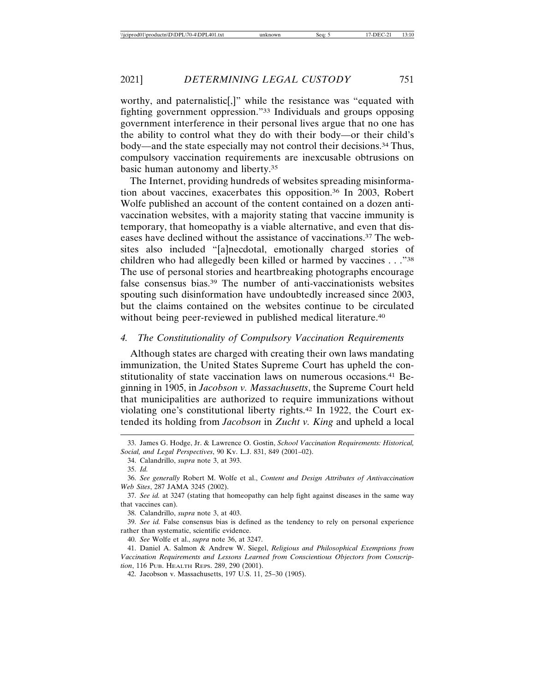worthy, and paternalistic[,]" while the resistance was "equated with fighting government oppression."33 Individuals and groups opposing government interference in their personal lives argue that no one has the ability to control what they do with their body—or their child's body—and the state especially may not control their decisions.34 Thus, compulsory vaccination requirements are inexcusable obtrusions on basic human autonomy and liberty.35

The Internet, providing hundreds of websites spreading misinformation about vaccines, exacerbates this opposition.36 In 2003, Robert Wolfe published an account of the content contained on a dozen antivaccination websites, with a majority stating that vaccine immunity is temporary, that homeopathy is a viable alternative, and even that diseases have declined without the assistance of vaccinations.37 The websites also included "[a]necdotal, emotionally charged stories of children who had allegedly been killed or harmed by vaccines . . ."38 The use of personal stories and heartbreaking photographs encourage false consensus bias.39 The number of anti-vaccinationists websites spouting such disinformation have undoubtedly increased since 2003, but the claims contained on the websites continue to be circulated without being peer-reviewed in published medical literature.<sup>40</sup>

# *4. The Constitutionality of Compulsory Vaccination Requirements*

Although states are charged with creating their own laws mandating immunization, the United States Supreme Court has upheld the constitutionality of state vaccination laws on numerous occasions.41 Beginning in 1905, in *Jacobson v. Massachusetts*, the Supreme Court held that municipalities are authorized to require immunizations without violating one's constitutional liberty rights.42 In 1922, the Court extended its holding from *Jacobson* in *Zucht v. King* and upheld a local

<sup>33.</sup> James G. Hodge, Jr. & Lawrence O. Gostin, *School Vaccination Requirements: Historical, Social, and Legal Perspectives*, 90 KY. L.J. 831, 849 (2001–02).

<sup>34.</sup> Calandrillo, *supra* note 3, at 393.

<sup>35.</sup> *Id.*

<sup>36.</sup> *See generally* Robert M. Wolfe et al., *Content and Design Attributes of Antivaccination Web Sites*, 287 JAMA 3245 (2002).

<sup>37.</sup> *See id.* at 3247 (stating that homeopathy can help fight against diseases in the same way that vaccines can).

<sup>38.</sup> Calandrillo, *supra* note 3, at 403.

<sup>39.</sup> *See id.* False consensus bias is defined as the tendency to rely on personal experience rather than systematic, scientific evidence.

<sup>40.</sup> *See* Wolfe et al., *supra* note 36, at 3247.

<sup>41.</sup> Daniel A. Salmon & Andrew W. Siegel, *Religious and Philosophical Exemptions from Vaccination Requirements and Lessons Learned from Conscientious Objectors from Conscription*, 116 PUB. HEALTH REPS. 289, 290 (2001).

<sup>42.</sup> Jacobson v. Massachusetts, 197 U.S. 11, 25–30 (1905).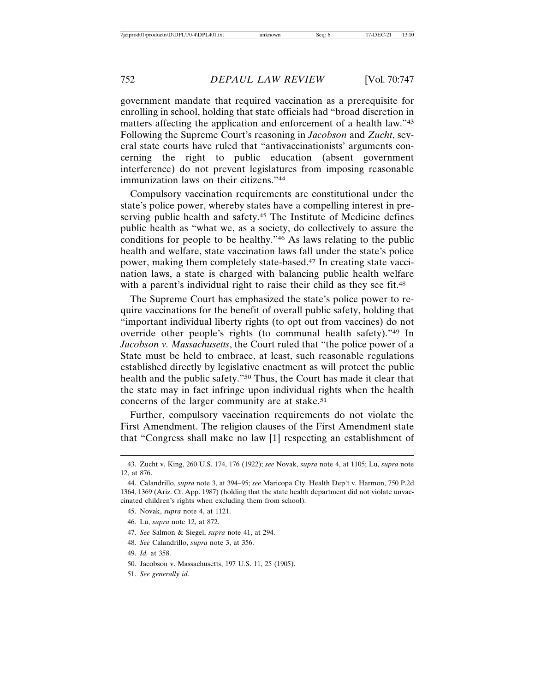government mandate that required vaccination as a prerequisite for enrolling in school, holding that state officials had "broad discretion in matters affecting the application and enforcement of a health law."43 Following the Supreme Court's reasoning in *Jacobson* and *Zucht*, several state courts have ruled that "antivaccinationists' arguments concerning the right to public education (absent government interference) do not prevent legislatures from imposing reasonable immunization laws on their citizens."44

Compulsory vaccination requirements are constitutional under the state's police power, whereby states have a compelling interest in preserving public health and safety.<sup>45</sup> The Institute of Medicine defines public health as "what we, as a society, do collectively to assure the conditions for people to be healthy."46 As laws relating to the public health and welfare, state vaccination laws fall under the state's police power, making them completely state-based.47 In creating state vaccination laws, a state is charged with balancing public health welfare with a parent's individual right to raise their child as they see fit.<sup>48</sup>

The Supreme Court has emphasized the state's police power to require vaccinations for the benefit of overall public safety, holding that "important individual liberty rights (to opt out from vaccines) do not override other people's rights (to communal health safety)."49 In *Jacobson v. Massachusetts*, the Court ruled that "the police power of a State must be held to embrace, at least, such reasonable regulations established directly by legislative enactment as will protect the public health and the public safety."50 Thus, the Court has made it clear that the state may in fact infringe upon individual rights when the health concerns of the larger community are at stake.<sup>51</sup>

Further, compulsory vaccination requirements do not violate the First Amendment. The religion clauses of the First Amendment state that "Congress shall make no law [1] respecting an establishment of

- 45. Novak, *supra* note 4, at 1121.
- 46. Lu, *supra* note 12, at 872.
- 47. *See* Salmon & Siegel, *supra* note 41, at 294.
- 48. *See* Calandrillo, *supra* note 3, at 356.
- 49. *Id.* at 358.
- 50. Jacobson v. Massachusetts, 197 U.S. 11, 25 (1905).
- 51. *See generally id.*

<sup>43.</sup> Zucht v. King, 260 U.S. 174, 176 (1922); *see* Novak, *supra* note 4, at 1105; Lu, *supra* note 12, at 876.

<sup>44.</sup> Calandrillo, *supra* note 3, at 394–95; *see* Maricopa Cty. Health Dep't v. Harmon, 750 P.2d 1364, 1369 (Ariz. Ct. App. 1987) (holding that the state health department did not violate unvaccinated children's rights when excluding them from school).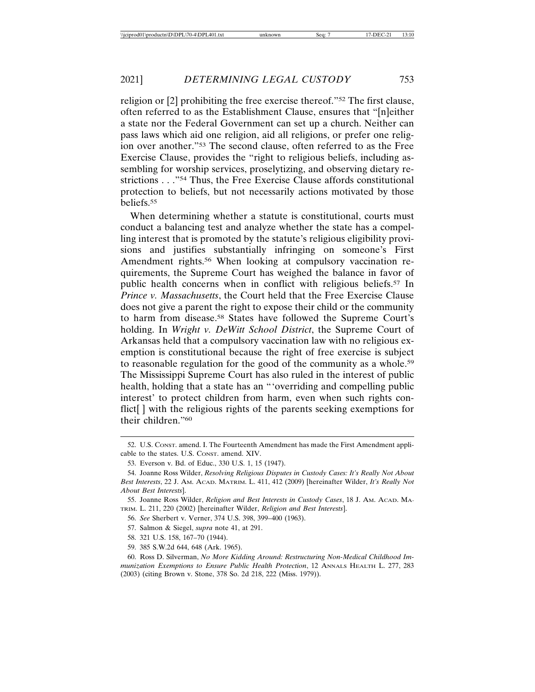religion or [2] prohibiting the free exercise thereof."52 The first clause, often referred to as the Establishment Clause, ensures that "[n]either a state nor the Federal Government can set up a church. Neither can pass laws which aid one religion, aid all religions, or prefer one religion over another."53 The second clause, often referred to as the Free Exercise Clause, provides the "right to religious beliefs, including assembling for worship services, proselytizing, and observing dietary restrictions . . ."54 Thus, the Free Exercise Clause affords constitutional protection to beliefs, but not necessarily actions motivated by those beliefs.55

When determining whether a statute is constitutional, courts must conduct a balancing test and analyze whether the state has a compelling interest that is promoted by the statute's religious eligibility provisions and justifies substantially infringing on someone's First Amendment rights.<sup>56</sup> When looking at compulsory vaccination requirements, the Supreme Court has weighed the balance in favor of public health concerns when in conflict with religious beliefs.57 In *Prince v. Massachusetts*, the Court held that the Free Exercise Clause does not give a parent the right to expose their child or the community to harm from disease.58 States have followed the Supreme Court's holding. In *Wright v. DeWitt School District*, the Supreme Court of Arkansas held that a compulsory vaccination law with no religious exemption is constitutional because the right of free exercise is subject to reasonable regulation for the good of the community as a whole.59 The Mississippi Supreme Court has also ruled in the interest of public health, holding that a state has an "'overriding and compelling public interest' to protect children from harm, even when such rights conflict[ ] with the religious rights of the parents seeking exemptions for their children."60

- 58. 321 U.S. 158, 167–70 (1944).
- 59. 385 S.W.2d 644, 648 (Ark. 1965).

60. Ross D. Silverman, *No More Kidding Around: Restructuring Non-Medical Childhood Immunization Exemptions to Ensure Public Health Protection*, 12 ANNALS HEALTH L. 277, 283 (2003) (citing Brown v. Stone, 378 So. 2d 218, 222 (Miss. 1979)).

<sup>52.</sup> U.S. CONST. amend. I. The Fourteenth Amendment has made the First Amendment applicable to the states. U.S. CONST. amend. XIV.

<sup>53.</sup> Everson v. Bd. of Educ., 330 U.S. 1, 15 (1947).

<sup>54.</sup> Joanne Ross Wilder, *Resolving Religious Disputes in Custody Cases: It's Really Not About Best Interests*, 22 J. AM. ACAD. MATRIM. L. 411, 412 (2009) [hereinafter Wilder, *It's Really Not About Best Interests*].

<sup>55.</sup> Joanne Ross Wilder, *Religion and Best Interests in Custody Cases*, 18 J. AM. ACAD. MA-TRIM. L. 211, 220 (2002) [hereinafter Wilder, *Religion and Best Interests*].

<sup>56.</sup> *See* Sherbert v. Verner, 374 U.S. 398, 399–400 (1963).

<sup>57.</sup> Salmon & Siegel, *supra* note 41, at 291.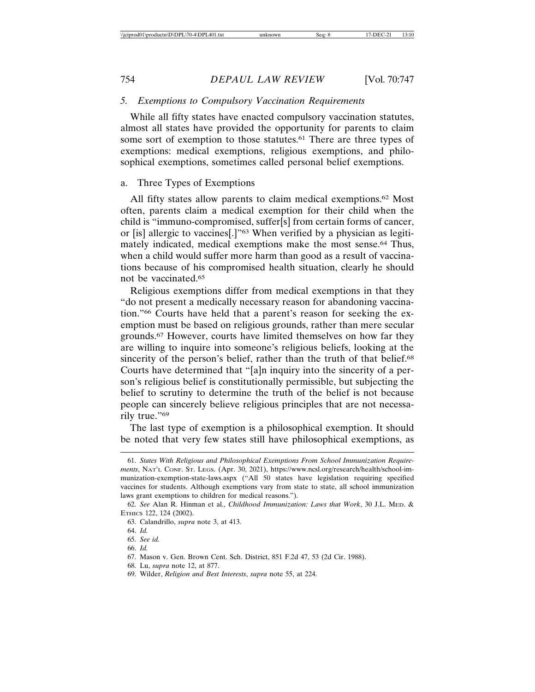## *5. Exemptions to Compulsory Vaccination Requirements*

While all fifty states have enacted compulsory vaccination statutes, almost all states have provided the opportunity for parents to claim some sort of exemption to those statutes.<sup>61</sup> There are three types of exemptions: medical exemptions, religious exemptions, and philosophical exemptions, sometimes called personal belief exemptions.

#### a. Three Types of Exemptions

All fifty states allow parents to claim medical exemptions.<sup>62</sup> Most often, parents claim a medical exemption for their child when the child is "immuno-compromised, suffer[s] from certain forms of cancer, or [is] allergic to vaccines[.]"63 When verified by a physician as legitimately indicated, medical exemptions make the most sense.64 Thus, when a child would suffer more harm than good as a result of vaccinations because of his compromised health situation, clearly he should not be vaccinated.65

Religious exemptions differ from medical exemptions in that they "do not present a medically necessary reason for abandoning vaccination."66 Courts have held that a parent's reason for seeking the exemption must be based on religious grounds, rather than mere secular grounds.67 However, courts have limited themselves on how far they are willing to inquire into someone's religious beliefs, looking at the sincerity of the person's belief, rather than the truth of that belief.<sup>68</sup> Courts have determined that "[a]n inquiry into the sincerity of a person's religious belief is constitutionally permissible, but subjecting the belief to scrutiny to determine the truth of the belief is not because people can sincerely believe religious principles that are not necessarily true."69

The last type of exemption is a philosophical exemption. It should be noted that very few states still have philosophical exemptions, as

<sup>61.</sup> *States With Religious and Philosophical Exemptions From School Immunization Requirements*, NAT'L CONF. ST. LEGS. (Apr. 30, 2021), https://www.ncsl.org/research/health/school-immunization-exemption-state-laws.aspx ("All 50 states have legislation requiring specified vaccines for students. Although exemptions vary from state to state, all school immunization laws grant exemptions to children for medical reasons.").

<sup>62.</sup> *See* Alan R. Hinman et al., *Childhood Immunization: Laws that Work*, 30 J.L. MED. & ETHICS 122, 124 (2002).

<sup>63.</sup> Calandrillo, *supra* note 3, at 413.

<sup>64.</sup> *Id.*

<sup>65.</sup> *See id.*

<sup>66.</sup> *Id.*

<sup>67.</sup> Mason v. Gen. Brown Cent. Sch. District, 851 F.2d 47, 53 (2d Cir. 1988).

<sup>68.</sup> Lu, *supra* note 12, at 877.

<sup>69.</sup> Wilder, *Religion and Best Interests*, *supra* note 55, at 224.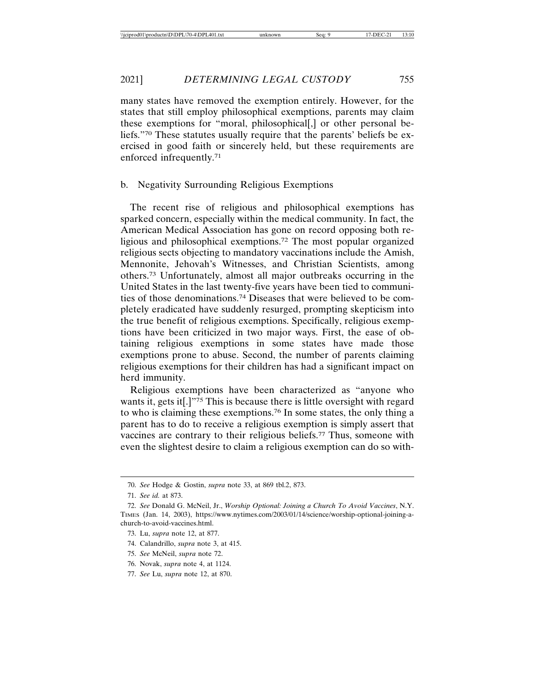many states have removed the exemption entirely. However, for the states that still employ philosophical exemptions, parents may claim these exemptions for "moral, philosophical[,] or other personal beliefs."70 These statutes usually require that the parents' beliefs be exercised in good faith or sincerely held, but these requirements are enforced infrequently.71

## b. Negativity Surrounding Religious Exemptions

The recent rise of religious and philosophical exemptions has sparked concern, especially within the medical community. In fact, the American Medical Association has gone on record opposing both religious and philosophical exemptions.72 The most popular organized religious sects objecting to mandatory vaccinations include the Amish, Mennonite, Jehovah's Witnesses, and Christian Scientists, among others.73 Unfortunately, almost all major outbreaks occurring in the United States in the last twenty-five years have been tied to communities of those denominations.74 Diseases that were believed to be completely eradicated have suddenly resurged, prompting skepticism into the true benefit of religious exemptions. Specifically, religious exemptions have been criticized in two major ways. First, the ease of obtaining religious exemptions in some states have made those exemptions prone to abuse. Second, the number of parents claiming religious exemptions for their children has had a significant impact on herd immunity.

Religious exemptions have been characterized as "anyone who wants it, gets it<sup>[.]"75</sup> This is because there is little oversight with regard to who is claiming these exemptions.76 In some states, the only thing a parent has to do to receive a religious exemption is simply assert that vaccines are contrary to their religious beliefs.77 Thus, someone with even the slightest desire to claim a religious exemption can do so with-

76. Novak, *supra* note 4, at 1124.

<sup>70.</sup> *See* Hodge & Gostin, *supra* note 33, at 869 tbl.2, 873.

<sup>71.</sup> *See id.* at 873.

<sup>72.</sup> *See* Donald G. McNeil, Jr., *Worship Optional: Joining a Church To Avoid Vaccines*, N.Y. TIMES (Jan. 14, 2003), https://www.nytimes.com/2003/01/14/science/worship-optional-joining-achurch-to-avoid-vaccines.html.

<sup>73.</sup> Lu, *supra* note 12, at 877.

<sup>74.</sup> Calandrillo, *supra* note 3, at 415.

<sup>75.</sup> *See* McNeil, *supra* note 72.

<sup>77.</sup> *See* Lu, *supra* note 12, at 870.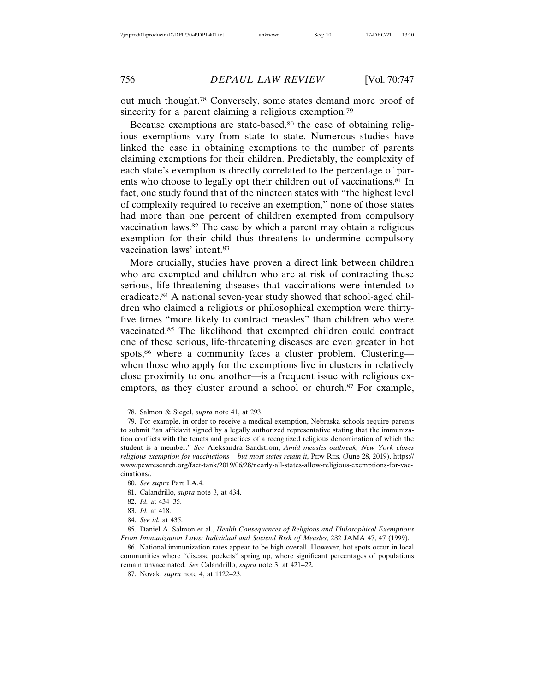out much thought.78 Conversely, some states demand more proof of sincerity for a parent claiming a religious exemption.<sup>79</sup>

Because exemptions are state-based,<sup>80</sup> the ease of obtaining religious exemptions vary from state to state. Numerous studies have linked the ease in obtaining exemptions to the number of parents claiming exemptions for their children. Predictably, the complexity of each state's exemption is directly correlated to the percentage of parents who choose to legally opt their children out of vaccinations.81 In fact, one study found that of the nineteen states with "the highest level of complexity required to receive an exemption," none of those states had more than one percent of children exempted from compulsory vaccination laws.82 The ease by which a parent may obtain a religious exemption for their child thus threatens to undermine compulsory vaccination laws' intent.83

More crucially, studies have proven a direct link between children who are exempted and children who are at risk of contracting these serious, life-threatening diseases that vaccinations were intended to eradicate.84 A national seven-year study showed that school-aged children who claimed a religious or philosophical exemption were thirtyfive times "more likely to contract measles" than children who were vaccinated.85 The likelihood that exempted children could contract one of these serious, life-threatening diseases are even greater in hot spots,<sup>86</sup> where a community faces a cluster problem. Clustering when those who apply for the exemptions live in clusters in relatively close proximity to one another—is a frequent issue with religious exemptors, as they cluster around a school or church.<sup>87</sup> For example,

84. *See id.* at 435.

<sup>78.</sup> Salmon & Siegel, *supra* note 41, at 293.

<sup>79.</sup> For example, in order to receive a medical exemption, Nebraska schools require parents to submit "an affidavit signed by a legally authorized representative stating that the immunization conflicts with the tenets and practices of a recognized religious denomination of which the student is a member." *See* Aleksandra Sandstrom, *Amid measles outbreak, New York closes religious exemption for vaccinations – but most states retain it*, PEW RES. (June 28, 2019), https:// www.pewresearch.org/fact-tank/2019/06/28/nearly-all-states-allow-religious-exemptions-for-vaccinations/.

<sup>80.</sup> *See supra* Part I.A.4.

<sup>81.</sup> Calandrillo, *supra* note 3, at 434.

<sup>82.</sup> *Id.* at 434–35.

<sup>83.</sup> *Id.* at 418.

<sup>85.</sup> Daniel A. Salmon et al., *Health Consequences of Religious and Philosophical Exemptions From Immunization Laws: Individual and Societal Risk of Measles*, 282 JAMA 47, 47 (1999).

<sup>86.</sup> National immunization rates appear to be high overall. However, hot spots occur in local communities where "disease pockets" spring up, where significant percentages of populations remain unvaccinated. *See* Calandrillo, *supra* note 3, at 421–22.

<sup>87.</sup> Novak, *supra* note 4, at 1122–23.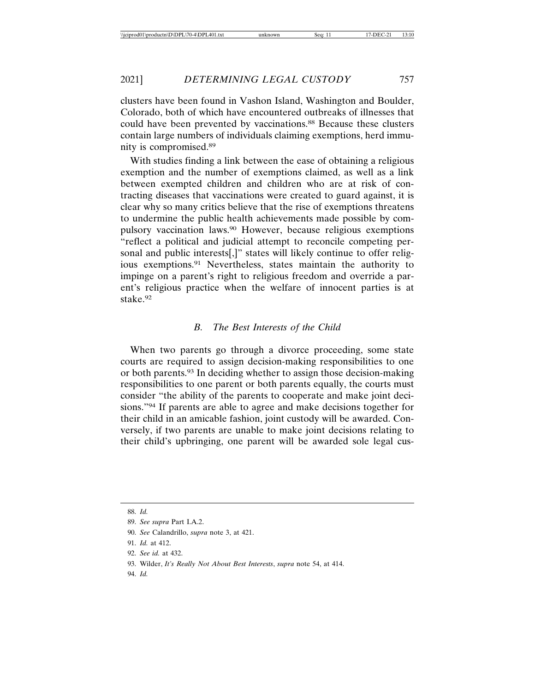2021] *DETERMINING LEGAL CUSTODY* 757

clusters have been found in Vashon Island, Washington and Boulder, Colorado, both of which have encountered outbreaks of illnesses that could have been prevented by vaccinations.<sup>88</sup> Because these clusters contain large numbers of individuals claiming exemptions, herd immunity is compromised.89

With studies finding a link between the ease of obtaining a religious exemption and the number of exemptions claimed, as well as a link between exempted children and children who are at risk of contracting diseases that vaccinations were created to guard against, it is clear why so many critics believe that the rise of exemptions threatens to undermine the public health achievements made possible by compulsory vaccination laws.90 However, because religious exemptions "reflect a political and judicial attempt to reconcile competing personal and public interests[,]" states will likely continue to offer religious exemptions.91 Nevertheless, states maintain the authority to impinge on a parent's right to religious freedom and override a parent's religious practice when the welfare of innocent parties is at stake.92

#### *B. The Best Interests of the Child*

When two parents go through a divorce proceeding, some state courts are required to assign decision-making responsibilities to one or both parents.93 In deciding whether to assign those decision-making responsibilities to one parent or both parents equally, the courts must consider "the ability of the parents to cooperate and make joint decisions."94 If parents are able to agree and make decisions together for their child in an amicable fashion, joint custody will be awarded. Conversely, if two parents are unable to make joint decisions relating to their child's upbringing, one parent will be awarded sole legal cus-

94. *Id.*

<sup>88.</sup> *Id.*

<sup>89.</sup> *See supra* Part I.A.2.

<sup>90.</sup> *See* Calandrillo, *supra* note 3, at 421.

<sup>91.</sup> *Id.* at 412.

<sup>92.</sup> *See id.* at 432.

<sup>93.</sup> Wilder, *It's Really Not About Best Interests*, *supra* note 54, at 414.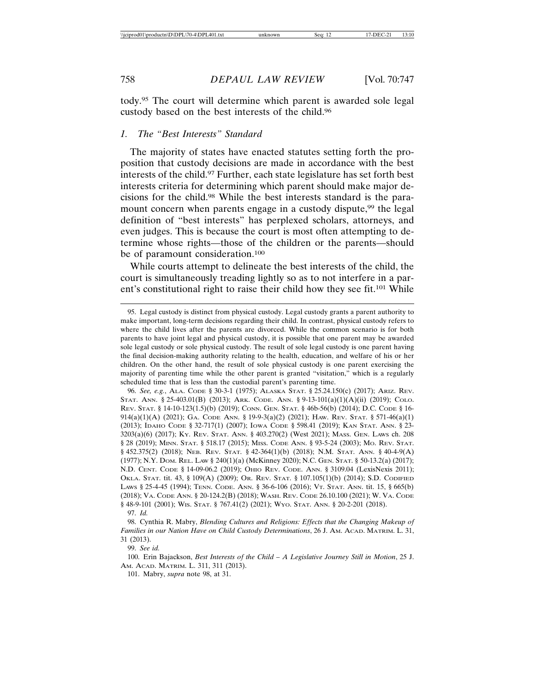tody.95 The court will determine which parent is awarded sole legal custody based on the best interests of the child.96

#### *1. The "Best Interests" Standard*

The majority of states have enacted statutes setting forth the proposition that custody decisions are made in accordance with the best interests of the child.<sup>97</sup> Further, each state legislature has set forth best interests criteria for determining which parent should make major decisions for the child.98 While the best interests standard is the paramount concern when parents engage in a custody dispute,<sup>99</sup> the legal definition of "best interests" has perplexed scholars, attorneys, and even judges. This is because the court is most often attempting to determine whose rights—those of the children or the parents—should be of paramount consideration.100

While courts attempt to delineate the best interests of the child, the court is simultaneously treading lightly so as to not interfere in a parent's constitutional right to raise their child how they see fit.101 While

96. *See, e.g.*, ALA. CODE § 30-3-1 (1975); ALASKA STAT. § 25.24.150(c) (2017); ARIZ. REV. STAT. ANN. § 25-403.01(B) (2013); ARK. CODE. ANN. § 9-13-101(a)(1)(A)(ii) (2019); COLO. REV. STAT. § 14-10-123(1.5)(b) (2019); CONN. GEN. STAT. § 46b-56(b) (2014); D.C. CODE § 16- 914(a)(1)(A) (2021); GA. CODE ANN. § 19-9-3(a)(2) (2021); HAW. REV. STAT. § 571-46(a)(1) (2013); IDAHO CODE § 32-717(1) (2007); IOWA CODE § 598.41 (2019); KAN STAT. ANN. § 23- 3203(a)(6) (2017); KY. REV. STAT. ANN. § 403.270(2) (West 2021); MASS. GEN. LAWS ch. 208 § 28 (2019); MINN. STAT. § 518.17 (2015); MISS. CODE ANN. § 93-5-24 (2003); MO. REV. STAT. § 452.375(2) (2018); NEB. REV. STAT. § 42-364(1)(b) (2018); N.M. STAT. ANN. § 40-4-9(A) (1977); N.Y. DOM. REL. LAW § 240(1)(a) (McKinney 2020); N.C. GEN. STAT. § 50-13.2(a) (2017); N.D. CENT. CODE § 14-09-06.2 (2019); OHIO REV. CODE. ANN. § 3109.04 (LexisNexis 2011); OKLA. STAT. tit. 43, § 109(A) (2009); OR. REV. STAT. § 107.105(1)(b) (2014); S.D. CODIFIED LAWS § 25-4-45 (1994); TENN. CODE. ANN. § 36-6-106 (2016); VT. STAT. ANN. tit. 15, § 665(b) (2018); VA. CODE ANN. § 20-124.2(B) (2018); WASH. REV. CODE 26.10.100 (2021); W. VA. CODE § 48-9-101 (2001); WIS. STAT. § 767.41(2) (2021); WYO. STAT. ANN. § 20-2-201 (2018).

97. *Id.*

98. Cynthia R. Mabry, *Blending Cultures and Religions: Effects that the Changing Makeup of Families in our Nation Have on Child Custody Determinations*, 26 J. AM. ACAD. MATRIM. L. 31, 31 (2013).

99. *See id.*

100. Erin Bajackson, *Best Interests of the Child – A Legislative Journey Still in Motion*, 25 J. AM. ACAD. MATRIM. L. 311, 311 (2013).

101. Mabry, *supra* note 98, at 31.

<sup>95.</sup> Legal custody is distinct from physical custody. Legal custody grants a parent authority to make important, long-term decisions regarding their child. In contrast, physical custody refers to where the child lives after the parents are divorced. While the common scenario is for both parents to have joint legal and physical custody, it is possible that one parent may be awarded sole legal custody or sole physical custody. The result of sole legal custody is one parent having the final decision-making authority relating to the health, education, and welfare of his or her children. On the other hand, the result of sole physical custody is one parent exercising the majority of parenting time while the other parent is granted "visitation," which is a regularly scheduled time that is less than the custodial parent's parenting time.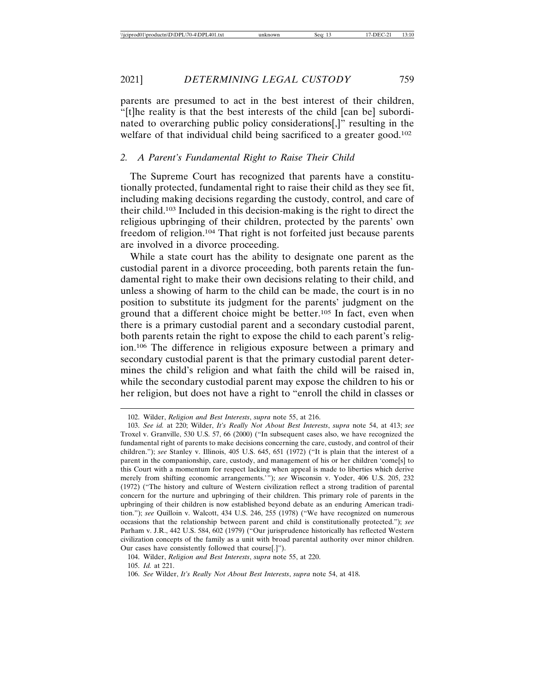parents are presumed to act in the best interest of their children, "[t]he reality is that the best interests of the child [can be] subordinated to overarching public policy considerations[,]" resulting in the welfare of that individual child being sacrificed to a greater good.<sup>102</sup>

#### *2. A Parent's Fundamental Right to Raise Their Child*

The Supreme Court has recognized that parents have a constitutionally protected, fundamental right to raise their child as they see fit, including making decisions regarding the custody, control, and care of their child.103 Included in this decision-making is the right to direct the religious upbringing of their children, protected by the parents' own freedom of religion.104 That right is not forfeited just because parents are involved in a divorce proceeding.

While a state court has the ability to designate one parent as the custodial parent in a divorce proceeding, both parents retain the fundamental right to make their own decisions relating to their child, and unless a showing of harm to the child can be made, the court is in no position to substitute its judgment for the parents' judgment on the ground that a different choice might be better.105 In fact, even when there is a primary custodial parent and a secondary custodial parent, both parents retain the right to expose the child to each parent's religion.106 The difference in religious exposure between a primary and secondary custodial parent is that the primary custodial parent determines the child's religion and what faith the child will be raised in, while the secondary custodial parent may expose the children to his or her religion, but does not have a right to "enroll the child in classes or

<sup>102.</sup> Wilder, *Religion and Best Interests*, *supra* note 55, at 216.

<sup>103.</sup> *See id.* at 220; Wilder, *It's Really Not About Best Interests*, *supra* note 54, at 413; *see* Troxel v. Granville, 530 U.S. 57, 66 (2000) ("In subsequent cases also, we have recognized the fundamental right of parents to make decisions concerning the care, custody, and control of their children."); *see* Stanley v. Illinois, 405 U.S. 645, 651 (1972) ("It is plain that the interest of a parent in the companionship, care, custody, and management of his or her children 'come[s] to this Court with a momentum for respect lacking when appeal is made to liberties which derive merely from shifting economic arrangements.'"); *see* Wisconsin v. Yoder, 406 U.S. 205, 232 (1972) ("The history and culture of Western civilization reflect a strong tradition of parental concern for the nurture and upbringing of their children. This primary role of parents in the upbringing of their children is now established beyond debate as an enduring American tradition."); *see* Quilloin v. Walcott, 434 U.S. 246, 255 (1978) ("We have recognized on numerous occasions that the relationship between parent and child is constitutionally protected."); *see* Parham v. J.R., 442 U.S. 584, 602 (1979) ("Our jurisprudence historically has reflected Western civilization concepts of the family as a unit with broad parental authority over minor children. Our cases have consistently followed that course[.]").

<sup>104.</sup> Wilder, *Religion and Best Interests*, *supra* note 55, at 220. 105. *Id.* at 221.

<sup>106.</sup> *See* Wilder, *It's Really Not About Best Interests*, *supra* note 54, at 418.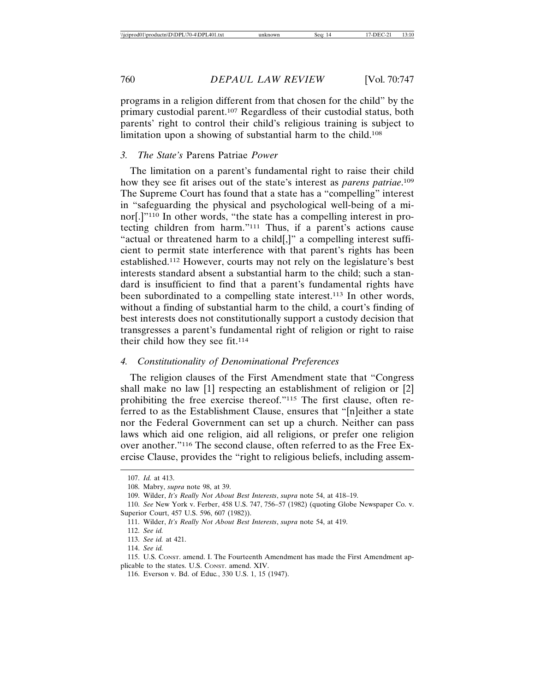programs in a religion different from that chosen for the child" by the primary custodial parent.107 Regardless of their custodial status, both parents' right to control their child's religious training is subject to limitation upon a showing of substantial harm to the child.<sup>108</sup>

#### *3. The State's* Parens Patriae *Power*

The limitation on a parent's fundamental right to raise their child how they see fit arises out of the state's interest as *parens patriae*. 109 The Supreme Court has found that a state has a "compelling" interest in "safeguarding the physical and psychological well-being of a minor[.]"110 In other words, "the state has a compelling interest in protecting children from harm."111 Thus, if a parent's actions cause "actual or threatened harm to a child[,]" a compelling interest sufficient to permit state interference with that parent's rights has been established.112 However, courts may not rely on the legislature's best interests standard absent a substantial harm to the child; such a standard is insufficient to find that a parent's fundamental rights have been subordinated to a compelling state interest.<sup>113</sup> In other words, without a finding of substantial harm to the child, a court's finding of best interests does not constitutionally support a custody decision that transgresses a parent's fundamental right of religion or right to raise their child how they see fit.114

#### *4. Constitutionality of Denominational Preferences*

The religion clauses of the First Amendment state that "Congress shall make no law [1] respecting an establishment of religion or [2] prohibiting the free exercise thereof."115 The first clause, often referred to as the Establishment Clause, ensures that "[n]either a state nor the Federal Government can set up a church. Neither can pass laws which aid one religion, aid all religions, or prefer one religion over another."116 The second clause, often referred to as the Free Exercise Clause, provides the "right to religious beliefs, including assem-

<sup>107.</sup> *Id.* at 413.

<sup>108.</sup> Mabry, *supra* note 98, at 39.

<sup>109.</sup> Wilder, *It's Really Not About Best Interests*, *supra* note 54, at 418–19.

<sup>110.</sup> *See* New York v. Ferber, 458 U.S. 747, 756–57 (1982) (quoting Globe Newspaper Co. v. Superior Court, 457 U.S. 596, 607 (1982)).

<sup>111.</sup> Wilder, *It's Really Not About Best Interests*, *supra* note 54, at 419.

<sup>112.</sup> *See id.*

<sup>113.</sup> *See id.* at 421.

<sup>114.</sup> *See id.*

<sup>115.</sup> U.S. CONST. amend. I. The Fourteenth Amendment has made the First Amendment applicable to the states. U.S. CONST. amend. XIV.

<sup>116.</sup> Everson v. Bd. of Educ*.*, 330 U.S. 1, 15 (1947).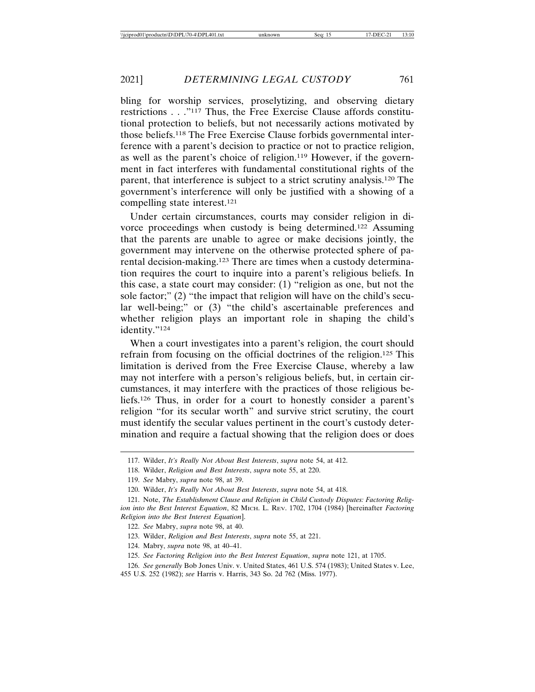bling for worship services, proselytizing, and observing dietary restrictions . . ."117 Thus, the Free Exercise Clause affords constitutional protection to beliefs, but not necessarily actions motivated by those beliefs.118 The Free Exercise Clause forbids governmental interference with a parent's decision to practice or not to practice religion, as well as the parent's choice of religion.119 However, if the government in fact interferes with fundamental constitutional rights of the parent, that interference is subject to a strict scrutiny analysis.120 The government's interference will only be justified with a showing of a compelling state interest.121

Under certain circumstances, courts may consider religion in divorce proceedings when custody is being determined.122 Assuming that the parents are unable to agree or make decisions jointly, the government may intervene on the otherwise protected sphere of parental decision-making.123 There are times when a custody determination requires the court to inquire into a parent's religious beliefs. In this case, a state court may consider: (1) "religion as one, but not the sole factor;" (2) "the impact that religion will have on the child's secular well-being;" or (3) "the child's ascertainable preferences and whether religion plays an important role in shaping the child's identity."124

When a court investigates into a parent's religion, the court should refrain from focusing on the official doctrines of the religion.125 This limitation is derived from the Free Exercise Clause, whereby a law may not interfere with a person's religious beliefs, but, in certain circumstances, it may interfere with the practices of those religious beliefs.126 Thus, in order for a court to honestly consider a parent's religion "for its secular worth" and survive strict scrutiny, the court must identify the secular values pertinent in the court's custody determination and require a factual showing that the religion does or does

<sup>117.</sup> Wilder, *It's Really Not About Best Interests*, *supra* note 54, at 412.

<sup>118.</sup> Wilder, *Religion and Best Interests*, *supra* note 55, at 220.

<sup>119.</sup> *See* Mabry, *supra* note 98, at 39.

<sup>120.</sup> Wilder, *It's Really Not About Best Interests*, *supra* note 54, at 418.

<sup>121.</sup> Note, *The Establishment Clause and Religion in Child Custody Disputes: Factoring Religion into the Best Interest Equation*, 82 MICH. L. REV. 1702, 1704 (1984) [hereinafter *Factoring Religion into the Best Interest Equation*].

<sup>122.</sup> *See* Mabry, *supra* note 98, at 40.

<sup>123.</sup> Wilder, *Religion and Best Interests*, *supra* note 55, at 221.

<sup>124.</sup> Mabry, *supra* note 98, at 40–41.

<sup>125.</sup> *See Factoring Religion into the Best Interest Equation*, *supra* note 121, at 1705.

<sup>126.</sup> *See generally* Bob Jones Univ. v. United States, 461 U.S. 574 (1983); United States v. Lee, 455 U.S. 252 (1982); *see* Harris v. Harris, 343 So. 2d 762 (Miss. 1977).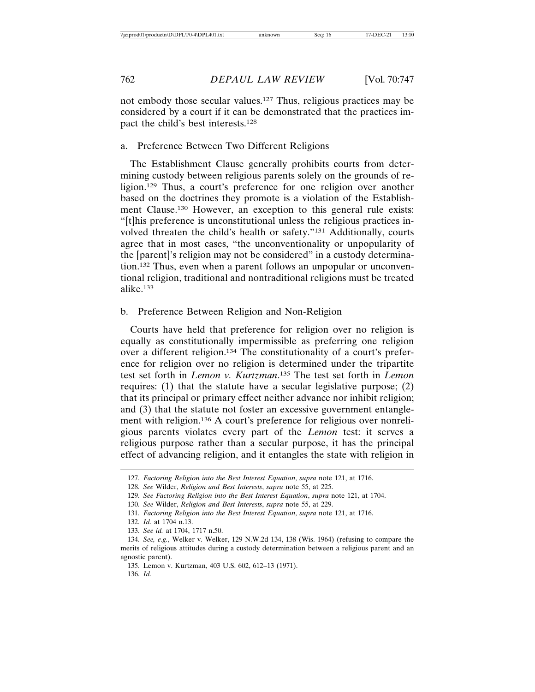not embody those secular values.127 Thus, religious practices may be considered by a court if it can be demonstrated that the practices impact the child's best interests.128

#### a. Preference Between Two Different Religions

The Establishment Clause generally prohibits courts from determining custody between religious parents solely on the grounds of religion.129 Thus, a court's preference for one religion over another based on the doctrines they promote is a violation of the Establishment Clause.130 However, an exception to this general rule exists: "[t]his preference is unconstitutional unless the religious practices involved threaten the child's health or safety."131 Additionally, courts agree that in most cases, "the unconventionality or unpopularity of the [parent]'s religion may not be considered" in a custody determination.132 Thus, even when a parent follows an unpopular or unconventional religion, traditional and nontraditional religions must be treated alike.133

#### b. Preference Between Religion and Non-Religion

Courts have held that preference for religion over no religion is equally as constitutionally impermissible as preferring one religion over a different religion.134 The constitutionality of a court's preference for religion over no religion is determined under the tripartite test set forth in *Lemon v. Kurtzman*. 135 The test set forth in *Lemon* requires: (1) that the statute have a secular legislative purpose; (2) that its principal or primary effect neither advance nor inhibit religion; and (3) that the statute not foster an excessive government entanglement with religion.136 A court's preference for religious over nonreligious parents violates every part of the *Lemon* test: it serves a religious purpose rather than a secular purpose, it has the principal effect of advancing religion, and it entangles the state with religion in

- 132. *Id.* at 1704 n.13.
- 133. *See id.* at 1704, 1717 n.50.

<sup>127.</sup> *Factoring Religion into the Best Interest Equation*, *supra* note 121, at 1716.

<sup>128.</sup> *See* Wilder, *Religion and Best Interests*, *supra* note 55, at 225.

<sup>129.</sup> *See Factoring Religion into the Best Interest Equation*, *supra* note 121, at 1704.

<sup>130.</sup> *See* Wilder, *Religion and Best Interests*, *supra* note 55, at 229.

<sup>131.</sup> *Factoring Religion into the Best Interest Equation*, *supra* note 121, at 1716.

<sup>134.</sup> *See, e.g.*, Welker v. Welker, 129 N.W.2d 134, 138 (Wis. 1964) (refusing to compare the merits of religious attitudes during a custody determination between a religious parent and an agnostic parent).

<sup>135.</sup> Lemon v. Kurtzman, 403 U.S. 602, 612–13 (1971).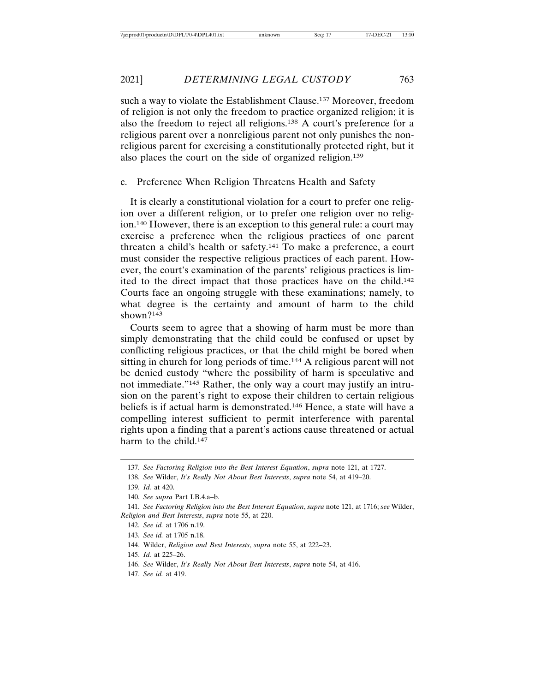such a way to violate the Establishment Clause.137 Moreover, freedom of religion is not only the freedom to practice organized religion; it is also the freedom to reject all religions.138 A court's preference for a religious parent over a nonreligious parent not only punishes the nonreligious parent for exercising a constitutionally protected right, but it also places the court on the side of organized religion.139

# c. Preference When Religion Threatens Health and Safety

It is clearly a constitutional violation for a court to prefer one religion over a different religion, or to prefer one religion over no religion.140 However, there is an exception to this general rule: a court may exercise a preference when the religious practices of one parent threaten a child's health or safety.141 To make a preference, a court must consider the respective religious practices of each parent. However, the court's examination of the parents' religious practices is limited to the direct impact that those practices have on the child.<sup>142</sup> Courts face an ongoing struggle with these examinations; namely, to what degree is the certainty and amount of harm to the child shown?143

Courts seem to agree that a showing of harm must be more than simply demonstrating that the child could be confused or upset by conflicting religious practices, or that the child might be bored when sitting in church for long periods of time.<sup>144</sup> A religious parent will not be denied custody "where the possibility of harm is speculative and not immediate."145 Rather, the only way a court may justify an intrusion on the parent's right to expose their children to certain religious beliefs is if actual harm is demonstrated.146 Hence, a state will have a compelling interest sufficient to permit interference with parental rights upon a finding that a parent's actions cause threatened or actual harm to the child.<sup>147</sup>

- 146. *See* Wilder, *It's Really Not About Best Interests*, *supra* note 54, at 416.
- 147. *See id.* at 419.

<sup>137.</sup> *See Factoring Religion into the Best Interest Equation*, *supra* note 121, at 1727.

<sup>138.</sup> *See* Wilder, *It's Really Not About Best Interests*, *supra* note 54, at 419–20.

<sup>139.</sup> *Id.* at 420.

<sup>140.</sup> *See supra* Part I.B.4.a–b.

<sup>141.</sup> *See Factoring Religion into the Best Interest Equation*, *supra* note 121, at 1716; *see* Wilder, *Religion and Best Interests*, *supra* note 55, at 220.

<sup>142.</sup> *See id.* at 1706 n.19.

<sup>143.</sup> *See id.* at 1705 n.18.

<sup>144.</sup> Wilder, *Religion and Best Interests*, *supra* note 55, at 222–23.

<sup>145.</sup> *Id.* at 225–26.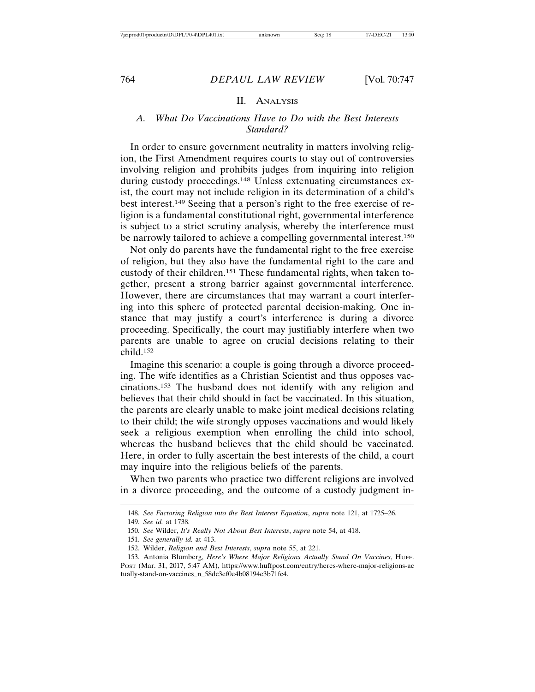#### II. ANALYSIS

# *A. What Do Vaccinations Have to Do with the Best Interests Standard?*

In order to ensure government neutrality in matters involving religion, the First Amendment requires courts to stay out of controversies involving religion and prohibits judges from inquiring into religion during custody proceedings.<sup>148</sup> Unless extenuating circumstances exist, the court may not include religion in its determination of a child's best interest.149 Seeing that a person's right to the free exercise of religion is a fundamental constitutional right, governmental interference is subject to a strict scrutiny analysis, whereby the interference must be narrowly tailored to achieve a compelling governmental interest.<sup>150</sup>

Not only do parents have the fundamental right to the free exercise of religion, but they also have the fundamental right to the care and custody of their children.151 These fundamental rights, when taken together, present a strong barrier against governmental interference. However, there are circumstances that may warrant a court interfering into this sphere of protected parental decision-making. One instance that may justify a court's interference is during a divorce proceeding. Specifically, the court may justifiably interfere when two parents are unable to agree on crucial decisions relating to their child.152

Imagine this scenario: a couple is going through a divorce proceeding. The wife identifies as a Christian Scientist and thus opposes vaccinations.153 The husband does not identify with any religion and believes that their child should in fact be vaccinated. In this situation, the parents are clearly unable to make joint medical decisions relating to their child; the wife strongly opposes vaccinations and would likely seek a religious exemption when enrolling the child into school, whereas the husband believes that the child should be vaccinated. Here, in order to fully ascertain the best interests of the child, a court may inquire into the religious beliefs of the parents.

When two parents who practice two different religions are involved in a divorce proceeding, and the outcome of a custody judgment in-

149. *See id.* at 1738.

<sup>148.</sup> *See Factoring Religion into the Best Interest Equation*, *supra* note 121, at 1725–26.

<sup>150.</sup> *See* Wilder, *It's Really Not About Best Interests*, *supra* note 54, at 418.

<sup>151.</sup> *See generally id.* at 413.

<sup>152.</sup> Wilder, *Religion and Best Interests*, *supra* note 55, at 221.

<sup>153.</sup> Antonia Blumberg, *Here's Where Major Religions Actually Stand On Vaccines*, HUFF. POST (Mar. 31, 2017, 5:47 AM), https://www.huffpost.com/entry/heres-where-major-religions-ac tually-stand-on-vaccines\_n\_58dc3ef0e4b08194e3b71fc4.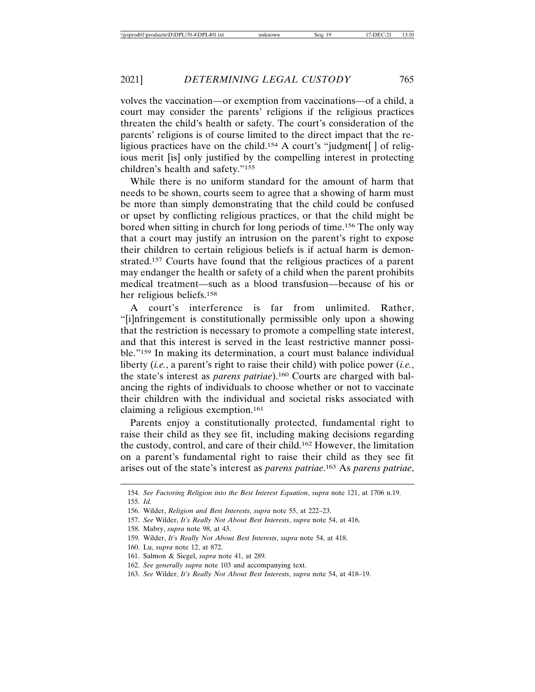volves the vaccination—or exemption from vaccinations—of a child, a court may consider the parents' religions if the religious practices threaten the child's health or safety. The court's consideration of the parents' religions is of course limited to the direct impact that the religious practices have on the child.154 A court's "judgment[ ] of religious merit [is] only justified by the compelling interest in protecting children's health and safety."155

While there is no uniform standard for the amount of harm that needs to be shown, courts seem to agree that a showing of harm must be more than simply demonstrating that the child could be confused or upset by conflicting religious practices, or that the child might be bored when sitting in church for long periods of time.156 The only way that a court may justify an intrusion on the parent's right to expose their children to certain religious beliefs is if actual harm is demonstrated.157 Courts have found that the religious practices of a parent may endanger the health or safety of a child when the parent prohibits medical treatment—such as a blood transfusion—because of his or her religious beliefs.158

A court's interference is far from unlimited. Rather, "[i]nfringement is constitutionally permissible only upon a showing that the restriction is necessary to promote a compelling state interest, and that this interest is served in the least restrictive manner possible."159 In making its determination, a court must balance individual liberty (*i.e.*, a parent's right to raise their child) with police power (*i.e.*, the state's interest as *parens patriae*).160 Courts are charged with balancing the rights of individuals to choose whether or not to vaccinate their children with the individual and societal risks associated with claiming a religious exemption.161

Parents enjoy a constitutionally protected, fundamental right to raise their child as they see fit, including making decisions regarding the custody, control, and care of their child.162 However, the limitation on a parent's fundamental right to raise their child as they see fit arises out of the state's interest as *parens patriae*. 163 As *parens patriae*,

- 160. Lu, *supra* note 12, at 872.
- 161. Salmon & Siegel, *supra* note 41, at 289.
- 162. *See generally supra* note 103 and accompanying text.
- 163. *See* Wilder, *It's Really Not About Best Interests*, *supra* note 54, at 418–19.

<sup>154.</sup> *See Factoring Religion into the Best Interest Equation*, *supra* note 121, at 1706 n.19. 155. *Id.*

<sup>156.</sup> Wilder, *Religion and Best Interests*, *supra* note 55, at 222–23.

<sup>157.</sup> *See* Wilder, *It's Really Not About Best Interests*, *supra* note 54, at 416.

<sup>158.</sup> Mabry, *supra* note 98, at 43.

<sup>159.</sup> Wilder, *It's Really Not About Best Interests*, *supra* note 54, at 418.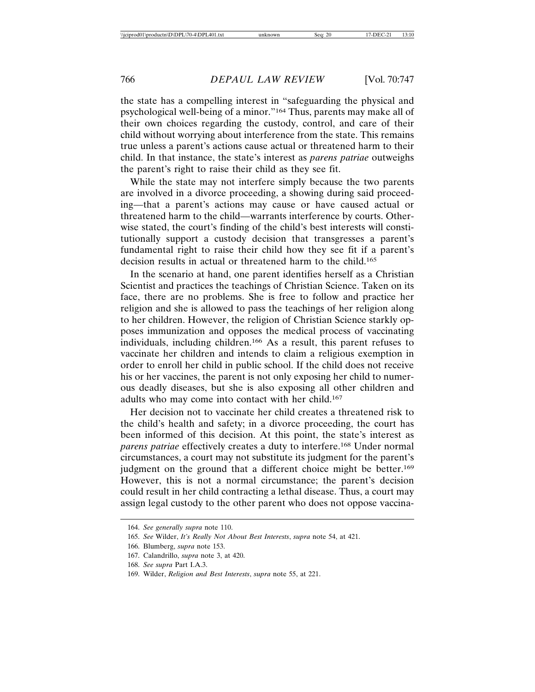the state has a compelling interest in "safeguarding the physical and psychological well-being of a minor."164 Thus, parents may make all of their own choices regarding the custody, control, and care of their child without worrying about interference from the state. This remains true unless a parent's actions cause actual or threatened harm to their child. In that instance, the state's interest as *parens patriae* outweighs the parent's right to raise their child as they see fit.

While the state may not interfere simply because the two parents are involved in a divorce proceeding, a showing during said proceeding—that a parent's actions may cause or have caused actual or threatened harm to the child—warrants interference by courts. Otherwise stated, the court's finding of the child's best interests will constitutionally support a custody decision that transgresses a parent's fundamental right to raise their child how they see fit if a parent's decision results in actual or threatened harm to the child.<sup>165</sup>

In the scenario at hand, one parent identifies herself as a Christian Scientist and practices the teachings of Christian Science. Taken on its face, there are no problems. She is free to follow and practice her religion and she is allowed to pass the teachings of her religion along to her children. However, the religion of Christian Science starkly opposes immunization and opposes the medical process of vaccinating individuals, including children.166 As a result, this parent refuses to vaccinate her children and intends to claim a religious exemption in order to enroll her child in public school. If the child does not receive his or her vaccines, the parent is not only exposing her child to numerous deadly diseases, but she is also exposing all other children and adults who may come into contact with her child.167

Her decision not to vaccinate her child creates a threatened risk to the child's health and safety; in a divorce proceeding, the court has been informed of this decision. At this point, the state's interest as *parens patriae* effectively creates a duty to interfere.168 Under normal circumstances, a court may not substitute its judgment for the parent's judgment on the ground that a different choice might be better.<sup>169</sup> However, this is not a normal circumstance; the parent's decision could result in her child contracting a lethal disease. Thus, a court may assign legal custody to the other parent who does not oppose vaccina-

<sup>164.</sup> *See generally supra* note 110.

<sup>165.</sup> *See* Wilder, *It's Really Not About Best Interests*, *supra* note 54, at 421.

<sup>166.</sup> Blumberg, *supra* note 153.

<sup>167.</sup> Calandrillo, *supra* note 3, at 420.

<sup>168.</sup> *See supra* Part I.A.3.

<sup>169.</sup> Wilder, *Religion and Best Interests*, *supra* note 55, at 221.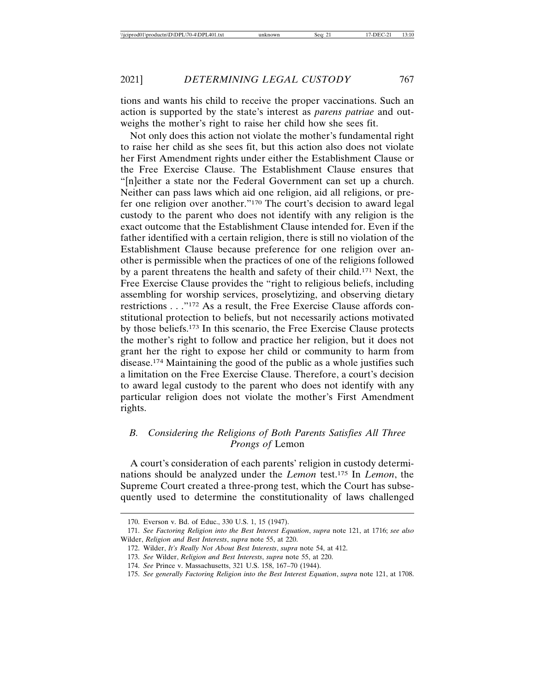tions and wants his child to receive the proper vaccinations. Such an action is supported by the state's interest as *parens patriae* and outweighs the mother's right to raise her child how she sees fit.

Not only does this action not violate the mother's fundamental right to raise her child as she sees fit, but this action also does not violate her First Amendment rights under either the Establishment Clause or the Free Exercise Clause. The Establishment Clause ensures that "[n]either a state nor the Federal Government can set up a church. Neither can pass laws which aid one religion, aid all religions, or prefer one religion over another."170 The court's decision to award legal custody to the parent who does not identify with any religion is the exact outcome that the Establishment Clause intended for. Even if the father identified with a certain religion, there is still no violation of the Establishment Clause because preference for one religion over another is permissible when the practices of one of the religions followed by a parent threatens the health and safety of their child.171 Next, the Free Exercise Clause provides the "right to religious beliefs, including assembling for worship services, proselytizing, and observing dietary restrictions . . ."172 As a result, the Free Exercise Clause affords constitutional protection to beliefs, but not necessarily actions motivated by those beliefs.173 In this scenario, the Free Exercise Clause protects the mother's right to follow and practice her religion, but it does not grant her the right to expose her child or community to harm from disease.174 Maintaining the good of the public as a whole justifies such a limitation on the Free Exercise Clause. Therefore, a court's decision to award legal custody to the parent who does not identify with any particular religion does not violate the mother's First Amendment rights.

# *B. Considering the Religions of Both Parents Satisfies All Three Prongs of* Lemon

A court's consideration of each parents' religion in custody determinations should be analyzed under the *Lemon* test.175 In *Lemon*, the Supreme Court created a three-prong test, which the Court has subsequently used to determine the constitutionality of laws challenged

<sup>170.</sup> Everson v. Bd. of Educ., 330 U.S. 1, 15 (1947).

<sup>171.</sup> *See Factoring Religion into the Best Interest Equation*, *supra* note 121, at 1716; *see also* Wilder, *Religion and Best Interests*, *supra* note 55, at 220.

<sup>172.</sup> Wilder, *It's Really Not About Best Interests*, *supra* note 54, at 412.

<sup>173.</sup> *See* Wilder, *Religion and Best Interests*, *supra* note 55, at 220.

<sup>174.</sup> *See* Prince v. Massachusetts, 321 U.S. 158, 167–70 (1944).

<sup>175.</sup> *See generally Factoring Religion into the Best Interest Equation*, *supra* note 121, at 1708.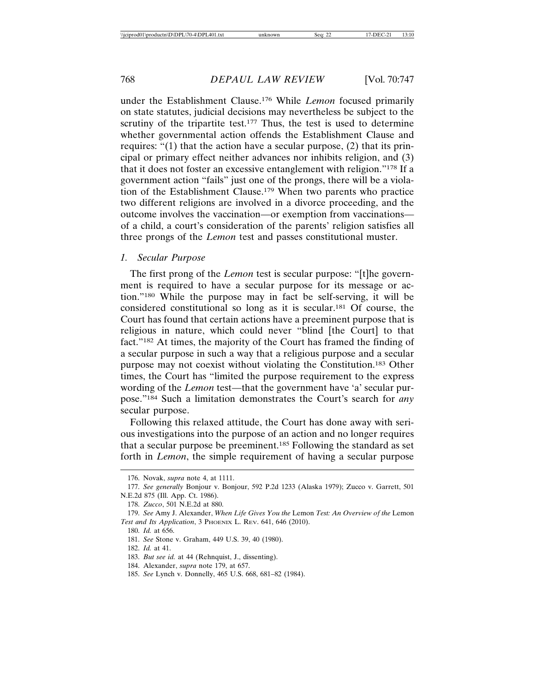under the Establishment Clause.176 While *Lemon* focused primarily on state statutes, judicial decisions may nevertheless be subject to the scrutiny of the tripartite test.<sup>177</sup> Thus, the test is used to determine whether governmental action offends the Establishment Clause and requires: "(1) that the action have a secular purpose, (2) that its principal or primary effect neither advances nor inhibits religion, and (3) that it does not foster an excessive entanglement with religion."178 If a government action "fails" just one of the prongs, there will be a violation of the Establishment Clause.179 When two parents who practice two different religions are involved in a divorce proceeding, and the outcome involves the vaccination—or exemption from vaccinations of a child, a court's consideration of the parents' religion satisfies all three prongs of the *Lemon* test and passes constitutional muster.

#### *1. Secular Purpose*

The first prong of the *Lemon* test is secular purpose: "[t]he government is required to have a secular purpose for its message or action."180 While the purpose may in fact be self-serving, it will be considered constitutional so long as it is secular.181 Of course, the Court has found that certain actions have a preeminent purpose that is religious in nature, which could never "blind [the Court] to that fact."182 At times, the majority of the Court has framed the finding of a secular purpose in such a way that a religious purpose and a secular purpose may not coexist without violating the Constitution.183 Other times, the Court has "limited the purpose requirement to the express wording of the *Lemon* test—that the government have 'a' secular purpose."184 Such a limitation demonstrates the Court's search for *any* secular purpose.

Following this relaxed attitude, the Court has done away with serious investigations into the purpose of an action and no longer requires that a secular purpose be preeminent.185 Following the standard as set forth in *Lemon*, the simple requirement of having a secular purpose

<sup>176.</sup> Novak, *supra* note 4, at 1111.

<sup>177.</sup> *See generally* Bonjour v. Bonjour, 592 P.2d 1233 (Alaska 1979); Zucco v. Garrett, 501 N.E.2d 875 (Ill. App. Ct. 1986).

<sup>178.</sup> *Zucco*, 501 N.E.2d at 880.

<sup>179.</sup> *See* Amy J. Alexander, *When Life Gives You the* Lemon *Test: An Overview of the* Lemon *Test and Its Application*, 3 PHOENIX L. REV. 641, 646 (2010).

<sup>180.</sup> *Id.* at 656.

<sup>181.</sup> *See* Stone v. Graham, 449 U.S. 39, 40 (1980).

<sup>182.</sup> *Id.* at 41.

<sup>183.</sup> *But see id.* at 44 (Rehnquist, J., dissenting).

<sup>184.</sup> Alexander, *supra* note 179, at 657.

<sup>185.</sup> *See* Lynch v. Donnelly, 465 U.S. 668, 681–82 (1984).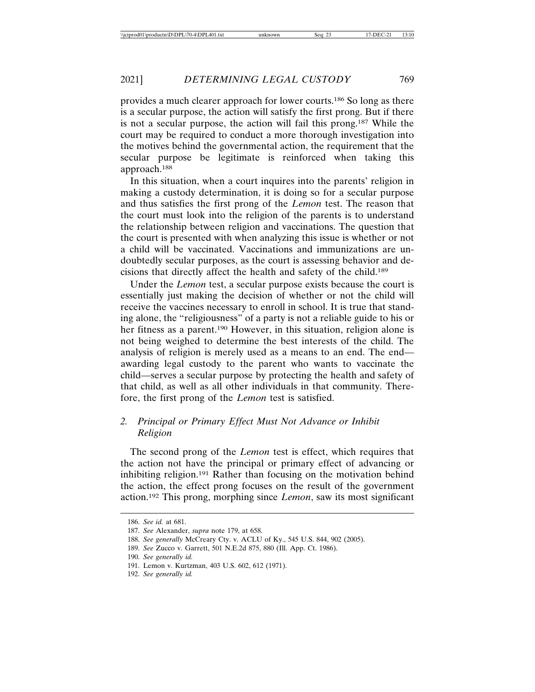provides a much clearer approach for lower courts.186 So long as there is a secular purpose, the action will satisfy the first prong. But if there is not a secular purpose, the action will fail this prong.187 While the court may be required to conduct a more thorough investigation into the motives behind the governmental action, the requirement that the secular purpose be legitimate is reinforced when taking this approach.188

In this situation, when a court inquires into the parents' religion in making a custody determination, it is doing so for a secular purpose and thus satisfies the first prong of the *Lemon* test. The reason that the court must look into the religion of the parents is to understand the relationship between religion and vaccinations. The question that the court is presented with when analyzing this issue is whether or not a child will be vaccinated. Vaccinations and immunizations are undoubtedly secular purposes, as the court is assessing behavior and decisions that directly affect the health and safety of the child.189

Under the *Lemon* test, a secular purpose exists because the court is essentially just making the decision of whether or not the child will receive the vaccines necessary to enroll in school. It is true that standing alone, the "religiousness" of a party is not a reliable guide to his or her fitness as a parent.<sup>190</sup> However, in this situation, religion alone is not being weighed to determine the best interests of the child. The analysis of religion is merely used as a means to an end. The end awarding legal custody to the parent who wants to vaccinate the child—serves a secular purpose by protecting the health and safety of that child, as well as all other individuals in that community. Therefore, the first prong of the *Lemon* test is satisfied.

# *2. Principal or Primary Effect Must Not Advance or Inhibit Religion*

The second prong of the *Lemon* test is effect, which requires that the action not have the principal or primary effect of advancing or inhibiting religion.191 Rather than focusing on the motivation behind the action, the effect prong focuses on the result of the government action.192 This prong, morphing since *Lemon*, saw its most significant

189. *See* Zucco v. Garrett, 501 N.E.2d 875, 880 (Ill. App. Ct. 1986).

<sup>186.</sup> *See id.* at 681.

<sup>187.</sup> *See* Alexander, *supra* note 179, at 658.

<sup>188.</sup> *See generally* McCreary Cty. v. ACLU of Ky., 545 U.S. 844, 902 (2005).

<sup>190.</sup> *See generally id.*

<sup>191.</sup> Lemon v. Kurtzman, 403 U.S. 602, 612 (1971).

<sup>192.</sup> *See generally id.*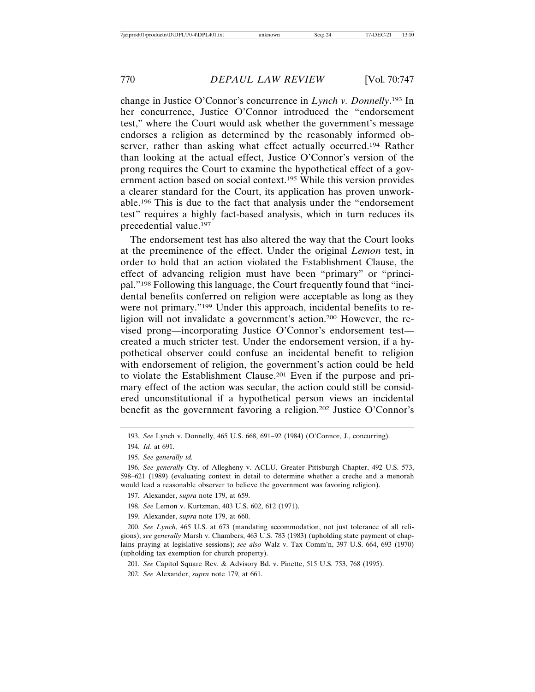change in Justice O'Connor's concurrence in *Lynch v. Donnelly*. 193 In her concurrence, Justice O'Connor introduced the "endorsement test," where the Court would ask whether the government's message endorses a religion as determined by the reasonably informed observer, rather than asking what effect actually occurred.194 Rather than looking at the actual effect, Justice O'Connor's version of the prong requires the Court to examine the hypothetical effect of a government action based on social context.195 While this version provides a clearer standard for the Court, its application has proven unworkable.196 This is due to the fact that analysis under the "endorsement test" requires a highly fact-based analysis, which in turn reduces its precedential value.197

The endorsement test has also altered the way that the Court looks at the preeminence of the effect. Under the original *Lemon* test, in order to hold that an action violated the Establishment Clause, the effect of advancing religion must have been "primary" or "principal."198 Following this language, the Court frequently found that "incidental benefits conferred on religion were acceptable as long as they were not primary."199 Under this approach, incidental benefits to religion will not invalidate a government's action.200 However, the revised prong—incorporating Justice O'Connor's endorsement test created a much stricter test. Under the endorsement version, if a hypothetical observer could confuse an incidental benefit to religion with endorsement of religion, the government's action could be held to violate the Establishment Clause.201 Even if the purpose and primary effect of the action was secular, the action could still be considered unconstitutional if a hypothetical person views an incidental benefit as the government favoring a religion.<sup>202</sup> Justice O'Connor's

198. *See* Lemon v. Kurtzman, 403 U.S. 602, 612 (1971).

199. Alexander, *supra* note 179, at 660.

200. *See Lynch*, 465 U.S. at 673 (mandating accommodation, not just tolerance of all religions); *see generally* Marsh v. Chambers, 463 U.S. 783 (1983) (upholding state payment of chaplains praying at legislative sessions); *see also* Walz v. Tax Comm'n, 397 U.S. 664, 693 (1970) (upholding tax exemption for church property).

201. *See* Capitol Square Rev. & Advisory Bd. v. Pinette, 515 U.S. 753, 768 (1995).

202. *See* Alexander, *supra* note 179, at 661.

<sup>193.</sup> *See* Lynch v. Donnelly, 465 U.S. 668, 691–92 (1984) (O'Connor, J., concurring).

<sup>194.</sup> *Id.* at 691.

<sup>195.</sup> *See generally id.*

<sup>196.</sup> *See generally* Cty. of Allegheny v. ACLU, Greater Pittsburgh Chapter, 492 U.S. 573, 598–621 (1989) (evaluating context in detail to determine whether a creche and a menorah would lead a reasonable observer to believe the government was favoring religion).

<sup>197.</sup> Alexander, *supra* note 179, at 659.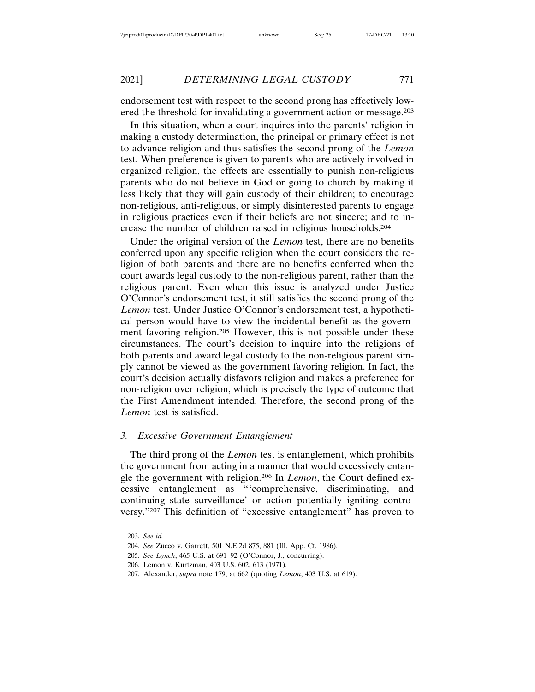endorsement test with respect to the second prong has effectively lowered the threshold for invalidating a government action or message.203

In this situation, when a court inquires into the parents' religion in making a custody determination, the principal or primary effect is not to advance religion and thus satisfies the second prong of the *Lemon* test. When preference is given to parents who are actively involved in organized religion, the effects are essentially to punish non-religious parents who do not believe in God or going to church by making it less likely that they will gain custody of their children; to encourage non-religious, anti-religious, or simply disinterested parents to engage in religious practices even if their beliefs are not sincere; and to increase the number of children raised in religious households.204

Under the original version of the *Lemon* test, there are no benefits conferred upon any specific religion when the court considers the religion of both parents and there are no benefits conferred when the court awards legal custody to the non-religious parent, rather than the religious parent. Even when this issue is analyzed under Justice O'Connor's endorsement test, it still satisfies the second prong of the *Lemon* test. Under Justice O'Connor's endorsement test, a hypothetical person would have to view the incidental benefit as the government favoring religion.205 However, this is not possible under these circumstances. The court's decision to inquire into the religions of both parents and award legal custody to the non-religious parent simply cannot be viewed as the government favoring religion. In fact, the court's decision actually disfavors religion and makes a preference for non-religion over religion, which is precisely the type of outcome that the First Amendment intended. Therefore, the second prong of the *Lemon* test is satisfied.

#### *3. Excessive Government Entanglement*

The third prong of the *Lemon* test is entanglement, which prohibits the government from acting in a manner that would excessively entangle the government with religion.206 In *Lemon*, the Court defined excessive entanglement as "'comprehensive, discriminating, and continuing state surveillance' or action potentially igniting controversy."207 This definition of "excessive entanglement" has proven to

<sup>203.</sup> *See id.*

<sup>204.</sup> *See* Zucco v. Garrett, 501 N.E.2d 875, 881 (Ill. App. Ct. 1986).

<sup>205.</sup> *See Lynch*, 465 U.S. at 691–92 (O'Connor, J., concurring).

<sup>206.</sup> Lemon v. Kurtzman, 403 U.S. 602, 613 (1971).

<sup>207.</sup> Alexander, *supra* note 179, at 662 (quoting *Lemon*, 403 U.S. at 619).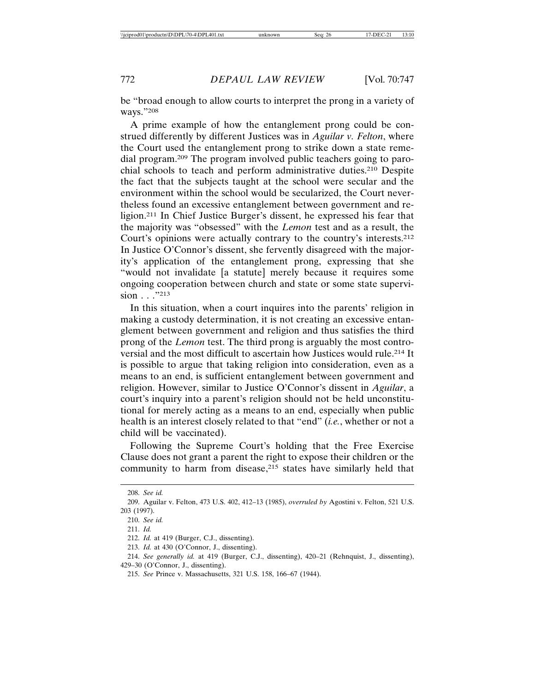be "broad enough to allow courts to interpret the prong in a variety of ways."208

A prime example of how the entanglement prong could be construed differently by different Justices was in *Aguilar v. Felton*, where the Court used the entanglement prong to strike down a state remedial program.209 The program involved public teachers going to parochial schools to teach and perform administrative duties.210 Despite the fact that the subjects taught at the school were secular and the environment within the school would be secularized, the Court nevertheless found an excessive entanglement between government and religion.211 In Chief Justice Burger's dissent, he expressed his fear that the majority was "obsessed" with the *Lemon* test and as a result, the Court's opinions were actually contrary to the country's interests.212 In Justice O'Connor's dissent, she fervently disagreed with the majority's application of the entanglement prong, expressing that she "would not invalidate [a statute] merely because it requires some ongoing cooperation between church and state or some state supervision . . . "213

In this situation, when a court inquires into the parents' religion in making a custody determination, it is not creating an excessive entanglement between government and religion and thus satisfies the third prong of the *Lemon* test. The third prong is arguably the most controversial and the most difficult to ascertain how Justices would rule.214 It is possible to argue that taking religion into consideration, even as a means to an end, is sufficient entanglement between government and religion. However, similar to Justice O'Connor's dissent in *Aguilar*, a court's inquiry into a parent's religion should not be held unconstitutional for merely acting as a means to an end, especially when public health is an interest closely related to that "end" (*i.e.*, whether or not a child will be vaccinated).

Following the Supreme Court's holding that the Free Exercise Clause does not grant a parent the right to expose their children or the community to harm from disease,<sup>215</sup> states have similarly held that

<sup>208.</sup> *See id.*

<sup>209.</sup> Aguilar v. Felton, 473 U.S. 402, 412–13 (1985), *overruled by* Agostini v. Felton, 521 U.S. 203 (1997).

<sup>210.</sup> *See id.*

<sup>211.</sup> *Id.*

<sup>212.</sup> *Id.* at 419 (Burger, C.J., dissenting).

<sup>213.</sup> *Id.* at 430 (O'Connor, J., dissenting).

<sup>214.</sup> *See generally id.* at 419 (Burger, C.J., dissenting), 420–21 (Rehnquist, J., dissenting), 429–30 (O'Connor, J., dissenting).

<sup>215.</sup> *See* Prince v. Massachusetts, 321 U.S. 158, 166–67 (1944).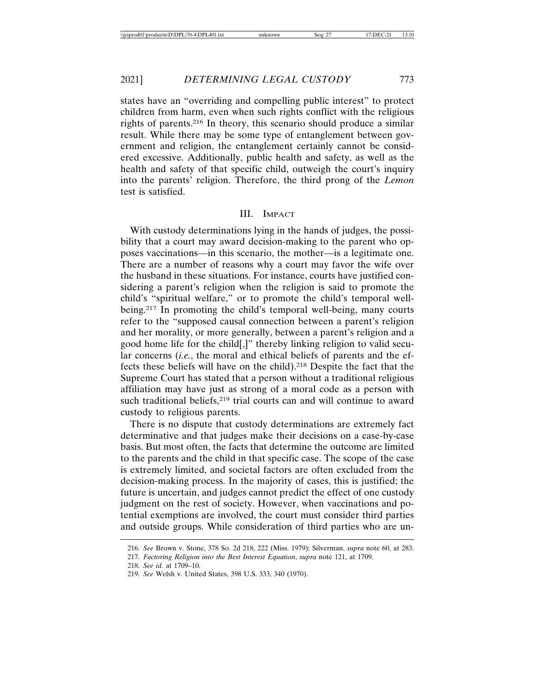states have an "overriding and compelling public interest" to protect children from harm, even when such rights conflict with the religious rights of parents.216 In theory, this scenario should produce a similar result. While there may be some type of entanglement between government and religion, the entanglement certainly cannot be considered excessive. Additionally, public health and safety, as well as the health and safety of that specific child, outweigh the court's inquiry into the parents' religion. Therefore, the third prong of the *Lemon* test is satisfied.

#### III. IMPACT

With custody determinations lying in the hands of judges, the possibility that a court may award decision-making to the parent who opposes vaccinations—in this scenario, the mother—is a legitimate one. There are a number of reasons why a court may favor the wife over the husband in these situations. For instance, courts have justified considering a parent's religion when the religion is said to promote the child's "spiritual welfare," or to promote the child's temporal wellbeing.217 In promoting the child's temporal well-being, many courts refer to the "supposed causal connection between a parent's religion and her morality, or more generally, between a parent's religion and a good home life for the child[,]" thereby linking religion to valid secular concerns (*i.e.*, the moral and ethical beliefs of parents and the effects these beliefs will have on the child).218 Despite the fact that the Supreme Court has stated that a person without a traditional religious affiliation may have just as strong of a moral code as a person with such traditional beliefs,<sup>219</sup> trial courts can and will continue to award custody to religious parents.

There is no dispute that custody determinations are extremely fact determinative and that judges make their decisions on a case-by-case basis. But most often, the facts that determine the outcome are limited to the parents and the child in that specific case. The scope of the case is extremely limited, and societal factors are often excluded from the decision-making process. In the majority of cases, this is justified; the future is uncertain, and judges cannot predict the effect of one custody judgment on the rest of society. However, when vaccinations and potential exemptions are involved, the court must consider third parties and outside groups. While consideration of third parties who are un-

<sup>216.</sup> *See* Brown v. Stone, 378 So. 2d 218, 222 (Miss. 1979); Silverman, *supra* note 60, at 283.

<sup>217.</sup> *Factoring Religion into the Best Interest Equation*, *supra* note 121, at 1709.

<sup>218.</sup> *See id.* at 1709–10.

<sup>219.</sup> *See* Welsh v. United States, 398 U.S. 333, 340 (1970).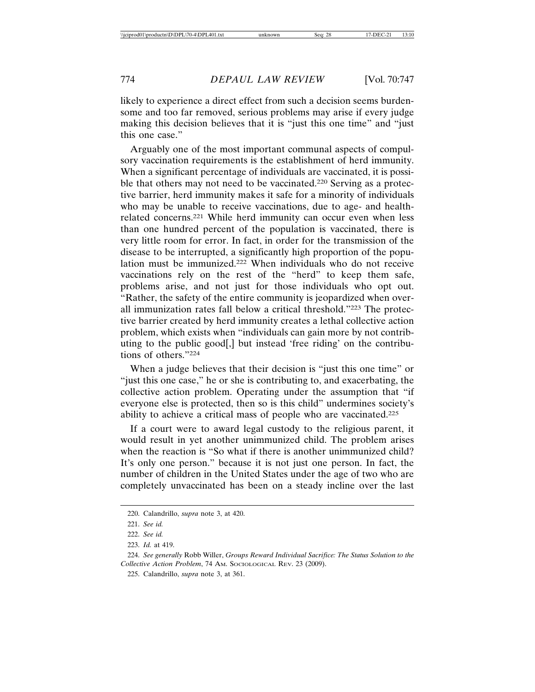likely to experience a direct effect from such a decision seems burdensome and too far removed, serious problems may arise if every judge making this decision believes that it is "just this one time" and "just this one case."

Arguably one of the most important communal aspects of compulsory vaccination requirements is the establishment of herd immunity. When a significant percentage of individuals are vaccinated, it is possible that others may not need to be vaccinated.220 Serving as a protective barrier, herd immunity makes it safe for a minority of individuals who may be unable to receive vaccinations, due to age- and healthrelated concerns.221 While herd immunity can occur even when less than one hundred percent of the population is vaccinated, there is very little room for error. In fact, in order for the transmission of the disease to be interrupted, a significantly high proportion of the population must be immunized.222 When individuals who do not receive vaccinations rely on the rest of the "herd" to keep them safe, problems arise, and not just for those individuals who opt out. "Rather, the safety of the entire community is jeopardized when overall immunization rates fall below a critical threshold."223 The protective barrier created by herd immunity creates a lethal collective action problem, which exists when "individuals can gain more by not contributing to the public good[,] but instead 'free riding' on the contributions of others."224

When a judge believes that their decision is "just this one time" or "just this one case," he or she is contributing to, and exacerbating, the collective action problem. Operating under the assumption that "if everyone else is protected, then so is this child" undermines society's ability to achieve a critical mass of people who are vaccinated.225

If a court were to award legal custody to the religious parent, it would result in yet another unimmunized child. The problem arises when the reaction is "So what if there is another unimmunized child? It's only one person." because it is not just one person. In fact, the number of children in the United States under the age of two who are completely unvaccinated has been on a steady incline over the last

<sup>220.</sup> Calandrillo, *supra* note 3, at 420.

<sup>221.</sup> *See id.*

<sup>222.</sup> *See id.*

<sup>223.</sup> *Id.* at 419.

<sup>224.</sup> *See generally* Robb Willer, *Groups Reward Individual Sacrifice: The Status Solution to the Collective Action Problem*, 74 AM. SOCIOLOGICAL REV. 23 (2009).

<sup>225.</sup> Calandrillo, *supra* note 3, at 361.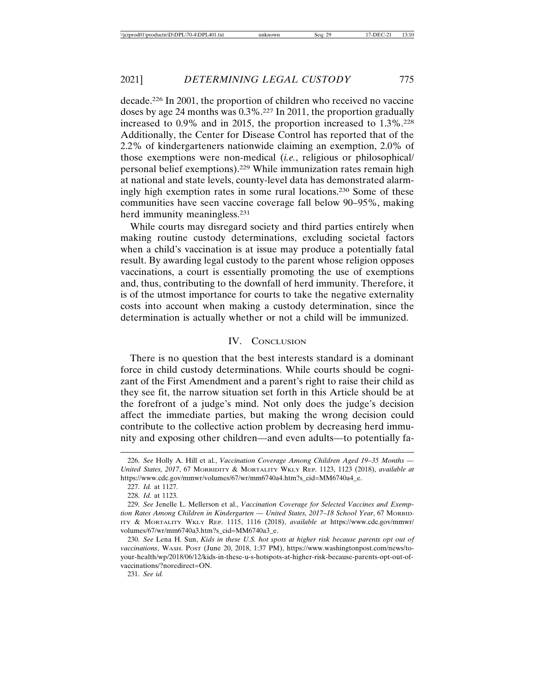decade.226 In 2001, the proportion of children who received no vaccine doses by age 24 months was 0.3%.227 In 2011, the proportion gradually increased to 0.9% and in 2015, the proportion increased to 1.3%.228 Additionally, the Center for Disease Control has reported that of the 2.2% of kindergarteners nationwide claiming an exemption, 2.0% of those exemptions were non-medical (*i.e.*, religious or philosophical/ personal belief exemptions).229 While immunization rates remain high at national and state levels, county-level data has demonstrated alarmingly high exemption rates in some rural locations.230 Some of these communities have seen vaccine coverage fall below 90–95%, making herd immunity meaningless.<sup>231</sup>

While courts may disregard society and third parties entirely when making routine custody determinations, excluding societal factors when a child's vaccination is at issue may produce a potentially fatal result. By awarding legal custody to the parent whose religion opposes vaccinations, a court is essentially promoting the use of exemptions and, thus, contributing to the downfall of herd immunity. Therefore, it is of the utmost importance for courts to take the negative externality costs into account when making a custody determination, since the determination is actually whether or not a child will be immunized.

#### IV. CONCLUSION

There is no question that the best interests standard is a dominant force in child custody determinations. While courts should be cognizant of the First Amendment and a parent's right to raise their child as they see fit, the narrow situation set forth in this Article should be at the forefront of a judge's mind. Not only does the judge's decision affect the immediate parties, but making the wrong decision could contribute to the collective action problem by decreasing herd immunity and exposing other children—and even adults—to potentially fa-

231. *See id.*

<sup>226.</sup> *See* Holly A. Hill et al., *Vaccination Coverage Among Children Aged 19–35 Months — United States, 2017*, 67 MORBIDITY & MORTALITY WKLY REP. 1123, 1123 (2018), *available at* https://www.cdc.gov/mmwr/volumes/67/wr/mm6740a4.htm?s\_cid=MM6740a4\_e.

<sup>227.</sup> *Id.* at 1127.

<sup>228.</sup> *Id.* at 1123.

<sup>229.</sup> *See* Jenelle L. Mellerson et al., *Vaccination Coverage for Selected Vaccines and Exemption Rates Among Children in Kindergarten — United States, 2017–18 School Year*, 67 MORBID-ITY & MORTALITY WKLY REP. 1115, 1116 (2018), *available at* https://www.cdc.gov/mmwr/ volumes/67/wr/mm6740a3.htm?s\_cid=MM6740a3\_e.

<sup>230.</sup> *See* Lena H. Sun, *Kids in these U.S. hot spots at higher risk because parents opt out of vaccinations*, WASH. POST (June 20, 2018, 1:37 PM), https://www.washingtonpost.com/news/toyour-health/wp/2018/06/12/kids-in-these-u-s-hotspots-at-higher-risk-because-parents-opt-out-ofvaccinations/?noredirect=ON.